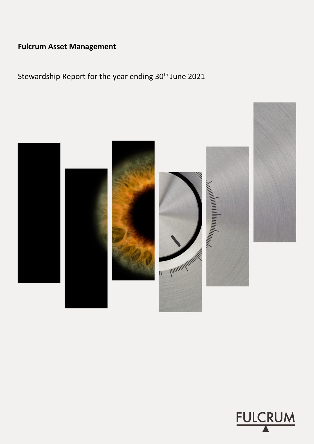# **Fulcrum Asset Management**

Stewardship Report for the year ending 30<sup>th</sup> June 2021



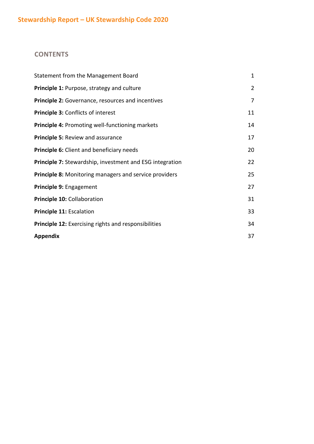# **CONTENTS**

| Statement from the Management Board                         | $\mathbf{1}$   |
|-------------------------------------------------------------|----------------|
| Principle 1: Purpose, strategy and culture                  | $\overline{2}$ |
| <b>Principle 2:</b> Governance, resources and incentives    | 7              |
| Principle 3: Conflicts of interest                          | 11             |
| <b>Principle 4: Promoting well-functioning markets</b>      | 14             |
| Principle 5: Review and assurance                           | 17             |
| <b>Principle 6:</b> Client and beneficiary needs            | 20             |
| Principle 7: Stewardship, investment and ESG integration    | 22             |
| Principle 8: Monitoring managers and service providers      | 25             |
| Principle 9: Engagement                                     | 27             |
| Principle 10: Collaboration                                 | 31             |
| Principle 11: Escalation                                    | 33             |
| <b>Principle 12:</b> Exercising rights and responsibilities | 34             |
| <b>Appendix</b>                                             | 37             |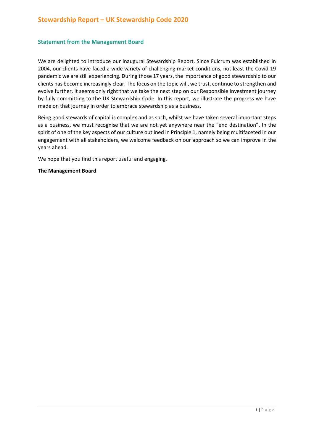### **Statement from the Management Board**

We are delighted to introduce our inaugural Stewardship Report. Since Fulcrum was established in 2004, our clients have faced a wide variety of challenging market conditions, not least the Covid-19 pandemic we are still experiencing. During those 17 years, the importance of good stewardship to our clients has become increasingly clear. The focus on the topic will, we trust, continue to strengthen and evolve further. It seems only right that we take the next step on our Responsible Investment journey by fully committing to the UK Stewardship Code. In this report, we illustrate the progress we have made on that journey in order to embrace stewardship as a business.

Being good stewards of capital is complex and as such, whilst we have taken several important steps as a business, we must recognise that we are not yet anywhere near the "end destination". In the spirit of one of the key aspects of our culture outlined in Principle 1, namely being multifaceted in our engagement with all stakeholders, we welcome feedback on our approach so we can improve in the years ahead.

We hope that you find this report useful and engaging.

#### **The Management Board**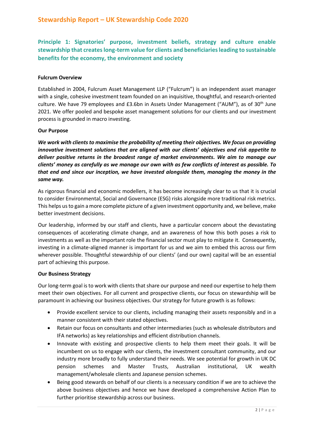**Principle 1: Signatories' purpose, investment beliefs, strategy and culture enable stewardship that creates long-term value for clients and beneficiaries leading to sustainable benefits for the economy, the environment and society**

### **Fulcrum Overview**

Established in 2004, Fulcrum Asset Management LLP ("Fulcrum") is an independent asset manager with a single, cohesive investment team founded on an inquisitive, thoughtful, and research-oriented culture. We have 79 employees and £3.6bn in Assets Under Management ("AUM"), as of 30<sup>th</sup> June 2021. We offer pooled and bespoke asset management solutions for our clients and our investment process is grounded in macro investing.

### **Our Purpose**

*We work with clients to maximise the probability of meeting their objectives. We focus on providing innovative investment solutions that are aligned with our clients' objectives and risk appetite to deliver positive returns in the broadest range of market environments. We aim to manage our clients' money as carefully as we manage our own with as few conflicts of interest as possible. To that end and since our inception, we have invested alongside them, managing the money in the same way.*

As rigorous financial and economic modellers, it has become increasingly clear to us that it is crucial to consider Environmental, Social and Governance (ESG) risks alongside more traditional risk metrics. This helps us to gain a more complete picture of a given investment opportunity and, we believe, make better investment decisions.

Our leadership, informed by our staff and clients, have a particular concern about the devastating consequences of accelerating climate change, and an awareness of how this both poses a risk to investments as well as the important role the financial sector must play to mitigate it. Consequently, investing in a climate-aligned manner is important for us and we aim to embed this across our firm wherever possible. Thoughtful stewardship of our clients' (and our own) capital will be an essential part of achieving this purpose.

### **Our Business Strategy**

Our long-term goal is to work with clients that share our purpose and need our expertise to help them meet their own objectives. For all current and prospective clients, our focus on stewardship will be paramount in achieving our business objectives. Our strategy for future growth is as follows:

- Provide excellent service to our clients, including managing their assets responsibly and in a manner consistent with their stated objectives.
- Retain our focus on consultants and other intermediaries (such as wholesale distributors and IFA networks) as key relationships and efficient distribution channels.
- Innovate with existing and prospective clients to help them meet their goals. It will be incumbent on us to engage with our clients, the investment consultant community, and our industry more broadly to fully understand their needs. We see potential for growth in UK DC pension schemes and Master Trusts, Australian institutional, UK wealth management/wholesale clients and Japanese pension schemes.
- Being good stewards on behalf of our clients is a necessary condition if we are to achieve the above business objectives and hence we have developed a comprehensive Action Plan to further prioritise stewardship across our business.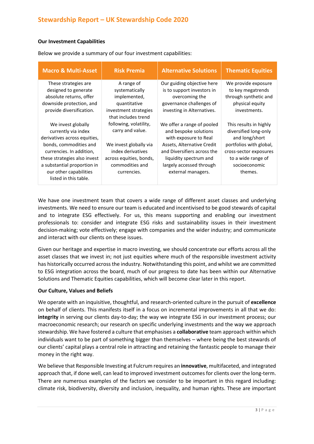### **Our Investment Capabilities**

Below we provide a summary of our four investment capabilities:

| <b>Macro &amp; Multi-Asset</b> | <b>Risk Premia</b>      | <b>Alternative Solutions</b> | <b>Thematic Equities</b> |
|--------------------------------|-------------------------|------------------------------|--------------------------|
| These strategies are.          | A range of              | Our guiding objective here   | We provide exposure      |
| designed to generate           | systematically          | is to support investors in   | to key megatrends        |
| absolute returns, offer        | implemented,            | overcoming the               | through synthetic and    |
| downside protection, and       | quantitative            | governance challenges of     | physical equity          |
| provide diversification.       | investment strategies   | investing in Alternatives.   | investments.             |
|                                | that includes trend     |                              |                          |
| We invest globally             | following, volatility,  | We offer a range of pooled   | This results in highly   |
| currently via index            | carry and value.        | and bespoke solutions        | diversified long-only    |
| derivatives across equities,   |                         | with exposure to Real        | and long/short           |
| bonds, commodities and         | We invest globally via  | Assets, Alternative Credit   | portfolios with global,  |
| currencies. In addition,       | index derivatives       | and Diversifiers across the  | cross-sector exposures   |
| these strategies also invest   | across equities, bonds, | liquidity spectrum and       | to a wide range of       |
| a substantial proportion in    | commodities and         | largely accessed through     | socioeconomic            |
| our other capabilities         | currencies.             | external managers.           | themes.                  |
| listed in this table.          |                         |                              |                          |
|                                |                         |                              |                          |

We have one investment team that covers a wide range of different asset classes and underlying investments. We need to ensure our team is educated and incentivised to be good stewards of capital and to integrate ESG effectively. For us, this means supporting and enabling our investment professionals to: consider and integrate ESG risks and sustainability issues in their investment decision-making; vote effectively; engage with companies and the wider industry; and communicate and interact with our clients on these issues.

Given our heritage and expertise in macro investing, we should concentrate our efforts across all the asset classes that we invest in; not just equities where much of the responsible investment activity has historically occurred across the industry. Notwithstanding this point, and whilst we are committed to ESG integration across the board, much of our progress to date has been within our Alternative Solutions and Thematic Equities capabilities, which will become clear later in this report.

### **Our Culture, Values and Beliefs**

We operate with an inquisitive, thoughtful, and research-oriented culture in the pursuit of **excellence** on behalf of clients. This manifests itself in a focus on incremental improvements in all that we do: **integrity** in serving our clients day-to-day; the way we integrate ESG in our investment process; our macroeconomic research; our research on specific underlying investments and the way we approach stewardship. We have fostered a culture that emphasises a **collaborative** team approach within which individuals want to be part of something bigger than themselves – where being the best stewards of our clients' capital plays a central role in attracting and retaining the fantastic people to manage their money in the right way.

We believe that Responsible Investing at Fulcrum requires an **innovative**, multifaceted, and integrated approach that, if done well, can lead to improved investment outcomes for clients over the long-term. There are numerous examples of the factors we consider to be important in this regard including: climate risk, biodiversity, diversity and inclusion, inequality, and human rights. These are important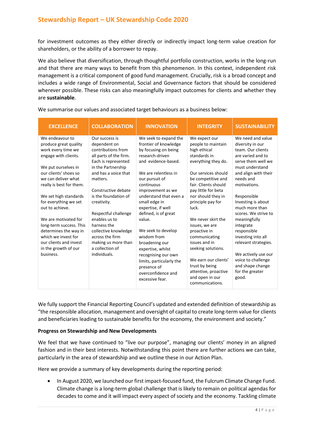for investment outcomes as they either directly or indirectly impact long-term value creation for shareholders, or the ability of a borrower to repay.

We also believe that diversification, through thoughtful portfolio construction, works in the long-run and that there are many ways to benefit from this phenomenon. In this context, independent risk management is a critical component of good fund management. Crucially, risk is a broad concept and includes a wide range of Environmental, Social and Governance factors that should be considered wherever possible. These risks can also meaningfully impact outcomes for clients and whether they are **sustainable**.

| <b>EXCELLENCE</b>                                                                                                                                             | <b>COLLABORATION</b>                                                                                                                                            | <b>INNOVATION</b>                                                                                                                                          | <b>INTEGRITY</b>                                                                                                                            | <b>SUSTAINABILITY</b>                                                                                                                                         |
|---------------------------------------------------------------------------------------------------------------------------------------------------------------|-----------------------------------------------------------------------------------------------------------------------------------------------------------------|------------------------------------------------------------------------------------------------------------------------------------------------------------|---------------------------------------------------------------------------------------------------------------------------------------------|---------------------------------------------------------------------------------------------------------------------------------------------------------------|
| We endeavour to<br>produce great quality<br>work every time we<br>engage with clients.<br>We put ourselves in<br>our clients' shoes so<br>we can deliver what | Our success is<br>dependent on<br>contributions from<br>all parts of the firm.<br>Each is represented<br>in the Partnership<br>and has a voice that<br>matters. | We seek to expand the<br>frontier of knowledge<br>by focusing on being<br>research-driven<br>and evidence-based.<br>We are relentless in<br>our pursuit of | We expect our<br>people to maintain<br>high ethical<br>standards in<br>everything they do.<br>Our services should<br>be competitive and     | We need and value<br>diversity in our<br>team. Our clients<br>are varied and to<br>serve them well we<br>must understand<br>and align with their<br>needs and |
| really is best for them.                                                                                                                                      | Constructive debate                                                                                                                                             | continuous<br>improvement as we                                                                                                                            | fair. Clients should<br>pay little for beta                                                                                                 | motivations.                                                                                                                                                  |
| We set high standards<br>for everything we set<br>out to achieve.                                                                                             | is the foundation of<br>creativity.<br>Respectful challenge                                                                                                     | understand that even a<br>small edge in<br>expertise, if well<br>defined, is of great                                                                      | nor should they in<br>principle pay for<br>luck.                                                                                            | Responsible<br>Investing is about<br>much more than<br>scores. We strive to                                                                                   |
| We are motivated for<br>long-term success. This<br>determines the way in<br>which we invest for                                                               | enables us to<br>harness the<br>collective knowledge<br>across the firm                                                                                         | value.<br>We seek to develop<br>wisdom from                                                                                                                | We never skirt the<br>issues, we are<br>proactive in<br>communicating                                                                       | meaningfully<br>integrate<br>responsible<br>investing into all                                                                                                |
| our clients and invest<br>in the growth of our<br>business.                                                                                                   | making us more than<br>a collection of<br>individuals.                                                                                                          | broadening our<br>expertise, whilst<br>recognising our own<br>limits, particularly the<br>presence of<br>overconfidence and<br>excessive fear.             | issues and in<br>seeking solutions.<br>We earn our clients'<br>trust by being<br>attentive, proactive<br>and open in our<br>communications. | relevant strategies.<br>We actively use our<br>voice to challenge<br>and shape change<br>for the greater<br>good.                                             |

We summarise our values and associated target behaviours as a business below:

We fully support the Financial Reporting Council's updated and extended definition of stewardship as "the responsible allocation, management and oversight of capital to create long-term value for clients and beneficiaries leading to sustainable benefits for the economy, the environment and society."

### **Progress on Stewardship and New Developments**

We feel that we have continued to "live our purpose", managing our clients' money in an aligned fashion and in their best interests. Notwithstanding this point there are further actions we can take, particularly in the area of stewardship and we outline these in our Action Plan.

Here we provide a summary of key developments during the reporting period:

• In August 2020, we launched our first impact-focused fund, the Fulcrum Climate Change Fund. Climate change is a long-term global challenge that is likely to remain on political agendas for decades to come and it will impact every aspect of society and the economy. Tackling climate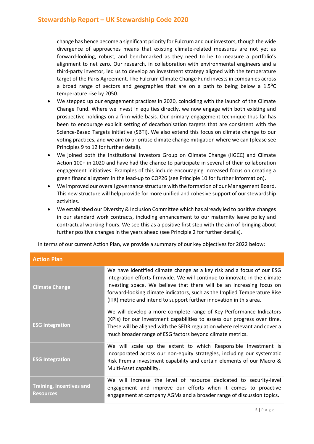change has hence become a significant priority for Fulcrum and ourinvestors, though the wide divergence of approaches means that existing climate-related measures are not yet as forward-looking, robust, and benchmarked as they need to be to measure a portfolio's alignment to net zero. Our research, in collaboration with environmental engineers and a third-party investor, led us to develop an investment strategy aligned with the temperature target of the Paris Agreement. The Fulcrum Climate Change Fund invests in companies across a broad range of sectors and geographies that are on a path to being below a  $1.5^{\circ}$ C temperature rise by 2050.

- We stepped up our engagement practices in 2020, coinciding with the launch of the Climate Change Fund. Where we invest in equities directly, we now engage with both existing and prospective holdings on a firm-wide basis. Our primary engagement technique thus far has been to encourage explicit setting of decarbonisation targets that are consistent with the Science-Based Targets initiative (SBTi). We also extend this focus on climate change to our voting practices, and we aim to prioritise climate change mitigation where we can (please see Principles 9 to 12 for further detail).
- We joined both the Institutional Investors Group on Climate Change (IIGCC) and Climate Action 100+ in 2020 and have had the chance to participate in several of their collaboration engagement initiatives. Examples of this include encouraging increased focus on creating a green financial system in the lead-up to COP26 (see Principle 10 for further information).
- We improved our overall governance structure with the formation of our Management Board. This new structure will help provide for more unified and cohesive support of our stewardship activities.
- We established our Diversity & Inclusion Committee which has already led to positive changes in our standard work contracts, including enhancement to our maternity leave policy and contractual working hours. We see this as a positive first step with the aim of bringing about further positive changes in the years ahead (see Principle 2 for further details).

In terms of our current Action Plan, we provide a summary of our key objectives for 2022 below:

| <b>Action Plan</b>                                  |                                                                                                                                                                                                                                                                                                                                                                                 |
|-----------------------------------------------------|---------------------------------------------------------------------------------------------------------------------------------------------------------------------------------------------------------------------------------------------------------------------------------------------------------------------------------------------------------------------------------|
| <b>Climate Change</b>                               | We have identified climate change as a key risk and a focus of our ESG<br>integration efforts firmwide. We will continue to innovate in the climate<br>investing space. We believe that there will be an increasing focus on<br>forward-looking climate indicators, such as the Implied Temperature Rise<br>(ITR) metric and intend to support further innovation in this area. |
| <b>ESG Integration</b>                              | We will develop a more complete range of Key Performance Indicators<br>(KPIs) for our investment capabilities to assess our progress over time.<br>These will be aligned with the SFDR regulation where relevant and cover a<br>much broader range of ESG factors beyond climate metrics.                                                                                       |
| <b>ESG Integration</b>                              | We will scale up the extent to which Responsible Investment is<br>incorporated across our non-equity strategies, including our systematic<br>Risk Premia investment capability and certain elements of our Macro &<br>Multi-Asset capability.                                                                                                                                   |
| <b>Training, Incentives and</b><br><b>Resources</b> | We will increase the level of resource dedicated to security-level<br>engagement and improve our efforts when it comes to proactive<br>engagement at company AGMs and a broader range of discussion topics.                                                                                                                                                                     |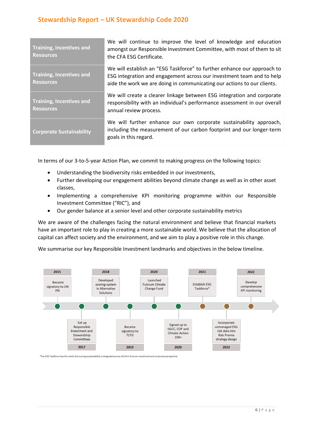| <b>Training, Incentives and</b><br><b>Resources</b> | We will continue to improve the level of knowledge and education<br>amongst our Responsible Investment Committee, with most of them to sit<br>the CFA ESG Certificate.                                                      |
|-----------------------------------------------------|-----------------------------------------------------------------------------------------------------------------------------------------------------------------------------------------------------------------------------|
| <b>Training, Incentives and</b><br><b>Resources</b> | We will establish an "ESG Taskforce" to further enhance our approach to<br>ESG integration and engagement across our investment team and to help<br>aide the work we are doing in communicating our actions to our clients. |
| <b>Training, Incentives and</b><br><b>Resources</b> | We will create a clearer linkage between ESG integration and corporate<br>responsibility with an individual's performance assessment in our overall<br>annual review process.                                               |
| <b>Corporate Sustainability</b>                     | We will further enhance our own corporate sustainability approach,<br>including the measurement of our carbon footprint and our longer-term<br>goals in this regard.                                                        |

In terms of our 3-to-5-year Action Plan, we commit to making progress on the following topics:

- Understanding the biodiversity risks embedded in our investments,
- Further developing our engagement abilities beyond climate change as well as in other asset classes,
- Implementing a comprehensive KPI monitoring programme within our Responsible Investment Committee ("RIC"), and
- Our gender balance at a senior level and other corporate sustainability metrics

We are aware of the challenges facing the natural environment and believe that financial markets have an important role to play in creating a more sustainable world. We believe that the allocation of capital can affect society and the environment, and we aim to play a positive role in this change.

We summarise our key Responsible Investment landmarks and objectives in the below timeline.



\*The ESG Taskforce has the remit of ensuring sustainability is integrated across the firm from an investment and corporate perspective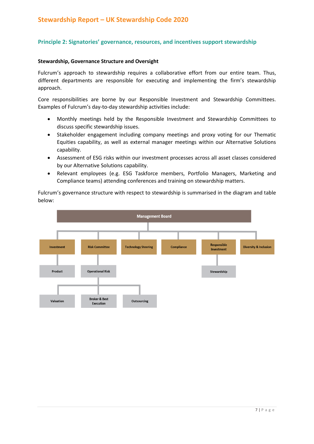### **Principle 2: Signatories' governance, resources, and incentives support stewardship**

#### **Stewardship, Governance Structure and Oversight**

Fulcrum's approach to stewardship requires a collaborative effort from our entire team. Thus, different departments are responsible for executing and implementing the firm's stewardship approach.

Core responsibilities are borne by our Responsible Investment and Stewardship Committees. Examples of Fulcrum's day-to-day stewardship activities include:

- Monthly meetings held by the Responsible Investment and Stewardship Committees to discuss specific stewardship issues.
- Stakeholder engagement including company meetings and proxy voting for our Thematic Equities capability, as well as external manager meetings within our Alternative Solutions capability.
- Assessment of ESG risks within our investment processes across all asset classes considered by our Alternative Solutions capability.
- Relevant employees (e.g. ESG Taskforce members, Portfolio Managers, Marketing and Compliance teams) attending conferences and training on stewardship matters.

Fulcrum's governance structure with respect to stewardship is summarised in the diagram and table below:

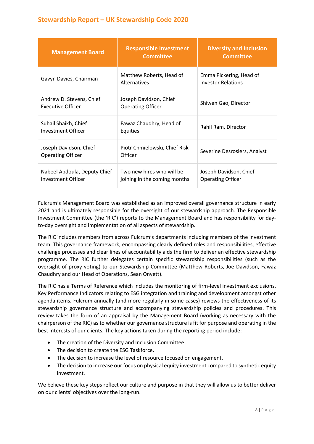| <b>Management Board</b>                              | <b>Responsible Investment</b><br><b>Committee</b>         | <b>Diversity and Inclusion</b><br><b>Committee</b>   |
|------------------------------------------------------|-----------------------------------------------------------|------------------------------------------------------|
| Gavyn Davies, Chairman                               | Matthew Roberts, Head of<br>Alternatives                  | Emma Pickering, Head of<br><b>Investor Relations</b> |
| Andrew D. Stevens, Chief<br><b>Executive Officer</b> | Joseph Davidson, Chief<br><b>Operating Officer</b>        | Shiwen Gao, Director                                 |
| Suhail Shaikh, Chief<br>Investment Officer           | Fawaz Chaudhry, Head of<br>Equities                       | Rahil Ram, Director                                  |
| Joseph Davidson, Chief<br><b>Operating Officer</b>   | Piotr Chmielowski, Chief Risk<br>Officer                  | Severine Desrosiers, Analyst                         |
| Nabeel Abdoula, Deputy Chief<br>Investment Officer   | Two new hires who will be<br>joining in the coming months | Joseph Davidson, Chief<br><b>Operating Officer</b>   |

Fulcrum's Management Board was established as an improved overall governance structure in early 2021 and is ultimately responsible for the oversight of our stewardship approach. The Responsible Investment Committee (the 'RIC') reports to the Management Board and has responsibility for dayto-day oversight and implementation of all aspects of stewardship.

The RIC includes members from across Fulcrum's departments including members of the investment team. This governance framework, encompassing clearly defined roles and responsibilities, effective challenge processes and clear lines of accountability aids the firm to deliver an effective stewardship programme. The RIC further delegates certain specific stewardship responsibilities (such as the oversight of proxy voting) to our Stewardship Committee (Matthew Roberts, Joe Davidson, Fawaz Chaudhry and our Head of Operations, Sean Onyett).

The RIC has a Terms of Reference which includes the monitoring of firm-level investment exclusions, Key Performance Indicators relating to ESG integration and training and development amongst other agenda items. Fulcrum annually (and more regularly in some cases) reviews the effectiveness of its stewardship governance structure and accompanying stewardship policies and procedures. This review takes the form of an appraisal by the Management Board (working as necessary with the chairperson of the RIC) as to whether our governance structure is fit for purpose and operating in the best interests of our clients. The key actions taken during the reporting period include:

- The creation of the Diversity and Inclusion Committee.
- The decision to create the ESG Taskforce.
- The decision to increase the level of resource focused on engagement.
- The decision to increase our focus on physical equity investment compared to synthetic equity investment.

We believe these key steps reflect our culture and purpose in that they will allow us to better deliver on our clients' objectives over the long-run.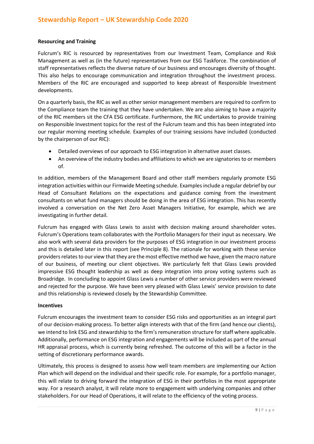### **Resourcing and Training**

Fulcrum's RIC is resourced by representatives from our Investment Team, Compliance and Risk Management as well as (in the future) representatives from our ESG Taskforce. The combination of staff representatives reflects the diverse nature of our business and encourages diversity of thought. This also helps to encourage communication and integration throughout the investment process. Members of the RIC are encouraged and supported to keep abreast of Responsible Investment developments.

On a quarterly basis, the RIC as well as other senior management members are required to confirm to the Compliance team the training that they have undertaken. We are also aiming to have a majority of the RIC members sit the CFA ESG certificate. Furthermore, the RIC undertakes to provide training on Responsible Investment topics for the rest of the Fulcrum team and this has been integrated into our regular morning meeting schedule. Examples of our training sessions have included (conducted by the chairperson of our RIC):

- Detailed overviews of our approach to ESG integration in alternative asset classes.
- An overview of the industry bodies and affiliations to which we are signatories to or members of.

In addition, members of the Management Board and other staff members regularly promote ESG integration activities within our Firmwide Meeting schedule. Examples include a regular debrief by our Head of Consultant Relations on the expectations and guidance coming from the investment consultants on what fund managers should be doing in the area of ESG integration. This has recently involved a conversation on the Net Zero Asset Managers Initiative, for example, which we are investigating in further detail.

Fulcrum has engaged with Glass Lewis to assist with decision making around shareholder votes. Fulcrum's Operations team collaborates with the Portfolio Managers for their input as necessary. We also work with several data providers for the purposes of ESG integration in our investment process and this is detailed later in this report (see Principle 8). The rationale for working with these service providers relates to our view that they are the most effective method we have, given the macro nature of our business, of meeting our client objectives. We particularly felt that Glass Lewis provided impressive ESG thought leadership as well as deep integration into proxy voting systems such as Broadridge. In concluding to appoint Glass Lewis a number of other service providers were reviewed and rejected for the purpose. We have been very pleased with Glass Lewis' service provision to date and this relationship is reviewed closely by the Stewardship Committee.

### **Incentives**

Fulcrum encourages the investment team to consider ESG risks and opportunities as an integral part of our decision-making process. To better align interests with that of the firm (and hence our clients), we intend to link ESG and stewardship to the firm's remuneration structure for staff where applicable. Additionally, performance on ESG integration and engagements will be included as part of the annual HR appraisal process, which is currently being refreshed. The outcome of this will be a factor in the setting of discretionary performance awards.

Ultimately, this process is designed to assess how well team members are implementing our Action Plan which will depend on the individual and their specific role. For example, for a portfolio manager, this will relate to driving forward the integration of ESG in their portfolios in the most appropriate way. For a research analyst, it will relate more to engagement with underlying companies and other stakeholders. For our Head of Operations, it will relate to the efficiency of the voting process.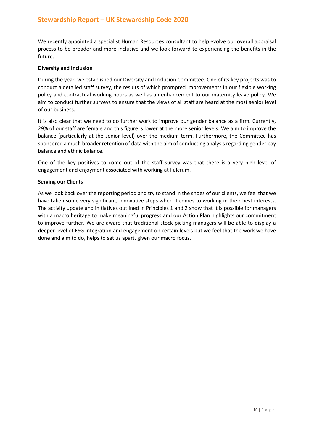We recently appointed a specialist Human Resources consultant to help evolve our overall appraisal process to be broader and more inclusive and we look forward to experiencing the benefits in the future.

#### **Diversity and Inclusion**

During the year, we established our Diversity and Inclusion Committee. One of its key projects was to conduct a detailed staff survey, the results of which prompted improvements in our flexible working policy and contractual working hours as well as an enhancement to our maternity leave policy. We aim to conduct further surveys to ensure that the views of all staff are heard at the most senior level of our business.

It is also clear that we need to do further work to improve our gender balance as a firm. Currently, 29% of our staff are female and this figure is lower at the more senior levels. We aim to improve the balance (particularly at the senior level) over the medium term. Furthermore, the Committee has sponsored a much broader retention of data with the aim of conducting analysis regarding gender pay balance and ethnic balance.

One of the key positives to come out of the staff survey was that there is a very high level of engagement and enjoyment associated with working at Fulcrum.

#### **Serving our Clients**

As we look back over the reporting period and try to stand in the shoes of our clients, we feel that we have taken some very significant, innovative steps when it comes to working in their best interests. The activity update and initiatives outlined in Principles 1 and 2 show that it is possible for managers with a macro heritage to make meaningful progress and our Action Plan highlights our commitment to improve further. We are aware that traditional stock picking managers will be able to display a deeper level of ESG integration and engagement on certain levels but we feel that the work we have done and aim to do, helps to set us apart, given our macro focus.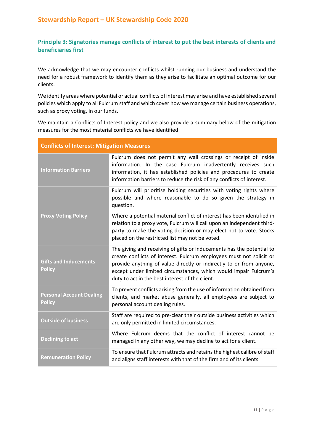# **Principle 3: Signatories manage conflicts of interest to put the best interests of clients and beneficiaries first**

We acknowledge that we may encounter conflicts whilst running our business and understand the need for a robust framework to identify them as they arise to facilitate an optimal outcome for our clients.

We identify areas where potential or actual conflicts of interest may arise and have established several policies which apply to all Fulcrum staff and which cover how we manage certain business operations, such as proxy voting, in our funds.

We maintain a Conflicts of Interest policy and we also provide a summary below of the mitigation measures for the most material conflicts we have identified:

| <b>Conflicts of Interest: Mitigation Measures</b> |                                                                                                                                                                                                                                                                                                                                            |  |
|---------------------------------------------------|--------------------------------------------------------------------------------------------------------------------------------------------------------------------------------------------------------------------------------------------------------------------------------------------------------------------------------------------|--|
| <b>Information Barriers</b>                       | Fulcrum does not permit any wall crossings or receipt of inside<br>information. In the case Fulcrum inadvertently receives such<br>information, it has established policies and procedures to create<br>information barriers to reduce the risk of any conflicts of interest.                                                              |  |
|                                                   | Fulcrum will prioritise holding securities with voting rights where<br>possible and where reasonable to do so given the strategy in<br>question.                                                                                                                                                                                           |  |
| <b>Proxy Voting Policy</b>                        | Where a potential material conflict of interest has been identified in<br>relation to a proxy vote, Fulcrum will call upon an independent third-<br>party to make the voting decision or may elect not to vote. Stocks<br>placed on the restricted list may not be voted.                                                                  |  |
| <b>Gifts and Inducements</b><br><b>Policy</b>     | The giving and receiving of gifts or inducements has the potential to<br>create conflicts of interest. Fulcrum employees must not solicit or<br>provide anything of value directly or indirectly to or from anyone,<br>except under limited circumstances, which would impair Fulcrum's<br>duty to act in the best interest of the client. |  |
| <b>Personal Account Dealing</b><br><b>Policy</b>  | To prevent conflicts arising from the use of information obtained from<br>clients, and market abuse generally, all employees are subject to<br>personal account dealing rules.                                                                                                                                                             |  |
| <b>Outside of business</b>                        | Staff are required to pre-clear their outside business activities which<br>are only permitted in limited circumstances.                                                                                                                                                                                                                    |  |
| <b>Declining to act</b>                           | Where Fulcrum deems that the conflict of interest cannot be<br>managed in any other way, we may decline to act for a client.                                                                                                                                                                                                               |  |
| <b>Remuneration Policy</b>                        | To ensure that Fulcrum attracts and retains the highest calibre of staff<br>and aligns staff interests with that of the firm and of its clients.                                                                                                                                                                                           |  |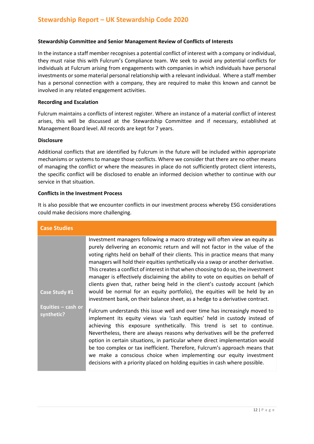### **Stewardship Committee and Senior Management Review of Conflicts of Interests**

In the instance a staff member recognises a potential conflict of interest with a company or individual, they must raise this with Fulcrum's Compliance team. We seek to avoid any potential conflicts for individuals at Fulcrum arising from engagements with companies in which individuals have personal investments or some material personal relationship with a relevant individual. Where a staff member has a personal connection with a company, they are required to make this known and cannot be involved in any related engagement activities.

### **Recording and Escalation**

Fulcrum maintains a conflicts of interest register. Where an instance of a material conflict of interest arises, this will be discussed at the Stewardship Committee and if necessary, established at Management Board level. All records are kept for 7 years.

### **Disclosure**

Additional conflicts that are identified by Fulcrum in the future will be included within appropriate mechanisms or systems to manage those conflicts. Where we consider that there are no other means of managing the conflict or where the measures in place do not sufficiently protect client interests, the specific conflict will be disclosed to enable an informed decision whether to continue with our service in that situation.

### **Conflicts in the Investment Process**

It is also possible that we encounter conflicts in our investment process whereby ESG considerations could make decisions more challenging.

| <b>Case Studies</b>                |                                                                                                                                                                                                                                                                                                                                                                                                                                                                                                                                                                                                                                                                                                                                                            |
|------------------------------------|------------------------------------------------------------------------------------------------------------------------------------------------------------------------------------------------------------------------------------------------------------------------------------------------------------------------------------------------------------------------------------------------------------------------------------------------------------------------------------------------------------------------------------------------------------------------------------------------------------------------------------------------------------------------------------------------------------------------------------------------------------|
| Case Study #1                      | Investment managers following a macro strategy will often view an equity as<br>purely delivering an economic return and will not factor in the value of the<br>voting rights held on behalf of their clients. This in practice means that many<br>managers will hold their equities synthetically via a swap or another derivative.<br>This creates a conflict of interest in that when choosing to do so, the investment<br>manager is effectively disclaiming the ability to vote on equities on behalf of<br>clients given that, rather being held in the client's custody account (which<br>would be normal for an equity portfolio), the equities will be held by an<br>investment bank, on their balance sheet, as a hedge to a derivative contract. |
| Equities $-$ cash or<br>synthetic? | Fulcrum understands this issue well and over time has increasingly moved to<br>implement its equity views via 'cash equities' held in custody instead of<br>achieving this exposure synthetically. This trend is set to continue.<br>Nevertheless, there are always reasons why derivatives will be the preferred<br>option in certain situations, in particular where direct implementation would<br>be too complex or tax inefficient. Therefore, Fulcrum's approach means that<br>we make a conscious choice when implementing our equity investment<br>decisions with a priority placed on holding equities in cash where possible.                                                                                                                    |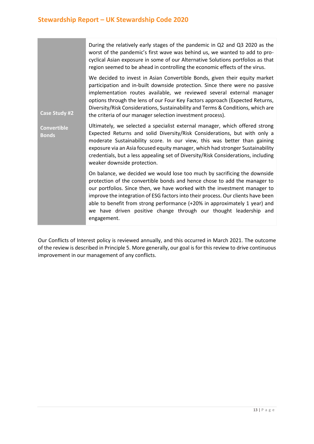|                                    | During the relatively early stages of the pandemic in Q2 and Q3 2020 as the<br>worst of the pandemic's first wave was behind us, we wanted to add to pro-<br>cyclical Asian exposure in some of our Alternative Solutions portfolios as that<br>region seemed to be ahead in controlling the economic effects of the virus.                                                                                                                                                               |
|------------------------------------|-------------------------------------------------------------------------------------------------------------------------------------------------------------------------------------------------------------------------------------------------------------------------------------------------------------------------------------------------------------------------------------------------------------------------------------------------------------------------------------------|
| <b>Case Study #2</b>               | We decided to invest in Asian Convertible Bonds, given their equity market<br>participation and in-built downside protection. Since there were no passive<br>implementation routes available, we reviewed several external manager<br>options through the lens of our Four Key Factors approach (Expected Returns,<br>Diversity/Risk Considerations, Sustainability and Terms & Conditions, which are<br>the criteria of our manager selection investment process).                       |
| <b>Convertible</b><br><b>Bonds</b> | Ultimately, we selected a specialist external manager, which offered strong<br>Expected Returns and solid Diversity/Risk Considerations, but with only a<br>moderate Sustainability score. In our view, this was better than gaining<br>exposure via an Asia focused equity manager, which had stronger Sustainability<br>credentials, but a less appealing set of Diversity/Risk Considerations, including<br>weaker downside protection.                                                |
|                                    | On balance, we decided we would lose too much by sacrificing the downside<br>protection of the convertible bonds and hence chose to add the manager to<br>our portfolios. Since then, we have worked with the investment manager to<br>improve the integration of ESG factors into their process. Our clients have been<br>able to benefit from strong performance (+20% in approximately 1 year) and<br>we have driven positive change through our thought leadership and<br>engagement. |

Our Conflicts of Interest policy is reviewed annually, and this occurred in March 2021. The outcome of the review is described in Principle 5. More generally, our goal is for this review to drive continuous improvement in our management of any conflicts.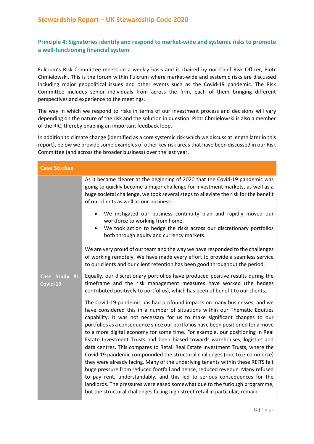### **Principle 4: Signatories identify and respond to market-wide and systemic risks to promote a well-functioning financial system**

Fulcrum's Risk Committee meets on a weekly basis and is chaired by our Chief Risk Officer, Piotr Chmielowski. This is the forum within Fulcrum where market-wide and systemic risks are discussed including major geopolitical issues and other events such as the Covid-19 pandemic. The Risk Committee includes senior individuals from across the firm, each of them bringing different perspectives and experience to the meetings.

The way in which we respond to risks in terms of our investment process and decisions will vary depending on the nature of the risk and the solution in question. Piotr Chmielowski is also a member of the RIC, thereby enabling an important feedback loop.

In addition to climate change (identified as a core systemic risk which we discuss at length later in this report), below we provide some examples of other key risk areas that have been discussed in our Risk Committee (and across the broader business) over the last year.

| <b>Case Studies</b>       |                                                                                                                                                                                                                                                                                                                                                                                                                                                                                                                                                                                                                                                                                                                                                                                                                                                                                                                                                                                                                                                                             |
|---------------------------|-----------------------------------------------------------------------------------------------------------------------------------------------------------------------------------------------------------------------------------------------------------------------------------------------------------------------------------------------------------------------------------------------------------------------------------------------------------------------------------------------------------------------------------------------------------------------------------------------------------------------------------------------------------------------------------------------------------------------------------------------------------------------------------------------------------------------------------------------------------------------------------------------------------------------------------------------------------------------------------------------------------------------------------------------------------------------------|
|                           | As it became clearer at the beginning of 2020 that the Covid-19 pandemic was<br>going to quickly become a major challenge for investment markets, as well as a<br>huge societal challenge, we took several steps to alleviate the risk for the benefit<br>of our clients as well as our business:                                                                                                                                                                                                                                                                                                                                                                                                                                                                                                                                                                                                                                                                                                                                                                           |
|                           | We instigated our business continuity plan and rapidly moved our<br>$\bullet$<br>workforce to working from home.<br>We took action to hedge the risks across our discretionary portfolios<br>both through equity and currency markets.                                                                                                                                                                                                                                                                                                                                                                                                                                                                                                                                                                                                                                                                                                                                                                                                                                      |
|                           | We are very proud of our team and the way we have responded to the challenges<br>of working remotely. We have made every effort to provide a seamless service<br>to our clients and our client retention has been good throughout the period.                                                                                                                                                                                                                                                                                                                                                                                                                                                                                                                                                                                                                                                                                                                                                                                                                               |
| Case Study #1<br>Covid-19 | Equally, our discretionary portfolios have produced positive results during the<br>timeframe and the risk management measures have worked (the hedges<br>contributed positively to portfolios), which has been of benefit to our clients.                                                                                                                                                                                                                                                                                                                                                                                                                                                                                                                                                                                                                                                                                                                                                                                                                                   |
|                           | The Covid-19 pandemic has had profound impacts on many businesses, and we<br>have considered this in a number of situations within our Thematic Equities<br>capability. It was not necessary for us to make significant changes to our<br>portfolios as a consequence since our portfolios have been positioned for a move<br>to a more digital economy for some time. For example, our positioning in Real<br>Estate Investment Trusts had been biased towards warehouses, logistics and<br>data centres. This compares to Retail Real Estate Investment Trusts, where the<br>Covid-19 pandemic compounded the structural challenges (due to e-commerce)<br>they were already facing. Many of the underlying tenants within these REITS felt<br>huge pressure from reduced footfall and hence, reduced revenue. Many refused<br>to pay rent, understandably, and this led to serious consequences for the<br>landlords. The pressures were eased somewhat due to the furlough programme,<br>but the structural challenges facing high street retail in particular, remain. |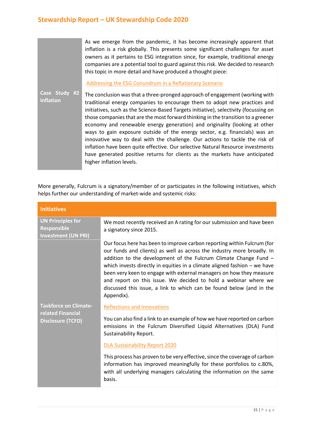As we emerge from the pandemic, it has become increasingly apparent that inflation is a risk globally. This presents some significant challenges for asset owners as it pertains to ESG integration since, for example, traditional energy companies are a potential tool to guard against this risk. We decided to research this topic in more detail and have produced a thought piece:

[Addressing the ESG Conundrum in a Reflationary Scenario](https://www.fulcrumasset.com/inst/uk/en/white-papers/addressing-the-esg-conundrum-in-a-reflationary-scenario/)

**Case Study #2 Inflation**  The conclusion was that a three-pronged approach of engagement (working with traditional energy companies to encourage them to adopt new practices and initiatives, such as the Science-Based Targets initiative), selectivity (focussing on those companies that are the most forward thinking in the transition to a greener economy and renewable energy generation) and originality (looking at other ways to gain exposure outside of the energy sector, e.g. financials) was an innovative way to deal with the challenge. Our actions to tackle the risk of inflation have been quite effective. Our selective Natural Resource investments have generated positive returns for clients as the markets have anticipated higher inflation levels.

More generally, Fulcrum is a signatory/member of or participates in the following initiatives, which helps further our understanding of market-wide and systemic risks:

| <b>Initiatives</b>                                                            |                                                                                                                                                                                                                                                                                                                                                                                                                                                                                                                                      |
|-------------------------------------------------------------------------------|--------------------------------------------------------------------------------------------------------------------------------------------------------------------------------------------------------------------------------------------------------------------------------------------------------------------------------------------------------------------------------------------------------------------------------------------------------------------------------------------------------------------------------------|
| <b>UN Principles for</b><br>Responsible<br><b>Investment (UN PRI)</b>         | We most recently received an A rating for our submission and have been<br>a signatory since 2015.                                                                                                                                                                                                                                                                                                                                                                                                                                    |
|                                                                               | Our focus here has been to improve carbon reporting within Fulcrum (for<br>our funds and clients) as well as across the industry more broadly. In<br>addition to the development of the Fulcrum Climate Change Fund -<br>which invests directly in equities in a climate aligned fashion $-$ we have<br>been very keen to engage with external managers on how they measure<br>and report on this issue. We decided to hold a webinar where we<br>discussed this issue, a link to which can be found below (and in the<br>Appendix). |
| <b>Taskforce on Climate-</b><br>related Financial<br><b>Disclosure (TCFD)</b> | <b>Reflections and Innovations</b><br>You can also find a link to an example of how we have reported on carbon<br>emissions in the Fulcrum Diversified Liquid Alternatives (DLA) Fund<br>Sustainability Report.                                                                                                                                                                                                                                                                                                                      |
|                                                                               | DLA Sustainability Report 2020<br>This process has proven to be very effective, since the coverage of carbon<br>information has improved meaningfully for these portfolios to c.80%,<br>with all underlying managers calculating the information on the same<br>basis.                                                                                                                                                                                                                                                               |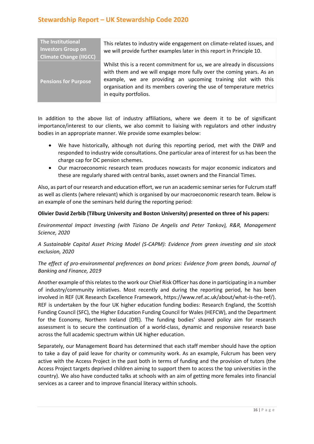| The Institutional<br><b>Investors Group on</b><br><b>Climate Change (IIGCC)</b> | This relates to industry wide engagement on climate-related issues, and<br>we will provide further examples later in this report in Principle 10.                                                                                                                                                                  |
|---------------------------------------------------------------------------------|--------------------------------------------------------------------------------------------------------------------------------------------------------------------------------------------------------------------------------------------------------------------------------------------------------------------|
| <b>Pensions for Purpose</b>                                                     | Whilst this is a recent commitment for us, we are already in discussions<br>with them and we will engage more fully over the coming years. As an<br>example, we are providing an upcoming training slot with this<br>organisation and its members covering the use of temperature metrics<br>in equity portfolios. |

In addition to the above list of industry affiliations, where we deem it to be of significant importance/interest to our clients, we also commit to liaising with regulators and other industry bodies in an appropriate manner. We provide some examples below:

- We have historically, although not during this reporting period, met with the DWP and responded to industry wide consultations. One particular area of interest for us has been the charge cap for DC pension schemes.
- Our macroeconomic research team produces nowcasts for major economic indicators and these are regularly shared with central banks, asset owners and the Financial Times.

Also, as part of our research and education effort, we run an academic seminar series for Fulcrum staff as well as clients (where relevant) which is organised by our macroeconomic research team. Below is an example of one the seminars held during the reporting period:

### **Olivier David Zerbib (Tilburg University and Boston University) presented on three of his papers:**

*Environmental Impact Investing (with Tiziano De Angelis and Peter Tankov), R&R, Management Science, 2020*

### *A Sustainable Capital Asset Pricing Model (S-CAPM): Evidence from green investing and sin stock exclusion, 2020*

### *The effect of pro-environmental preferences on bond prices: Evidence from green bonds, Journal of Banking and Finance, 2019*

Another example of this relates to the work our Chief Risk Officer has done in participating in a number of industry/community initiatives. Most recently and during the reporting period, he has been involved in REF (UK Research Excellence Framework, https://www.ref.ac.uk/about/what-is-the-ref/). REF is undertaken by the four UK higher education funding bodies: Research England, the Scottish Funding Council (SFC), the Higher Education Funding Council for Wales (HEFCW), and the Department for the Economy, Northern Ireland (DfE). The funding bodies' shared policy aim for research assessment is to secure the continuation of a world-class, dynamic and responsive research base across the full academic spectrum within UK higher education.

Separately, our Management Board has determined that each staff member should have the option to take a day of paid leave for charity or community work. As an example, Fulcrum has been very active with the Access Project in the past both in terms of funding and the provision of tutors (the Access Project targets deprived children aiming to support them to access the top universities in the country). We also have conducted talks at schools with an aim of getting more females into financial services as a career and to improve financial literacy within schools.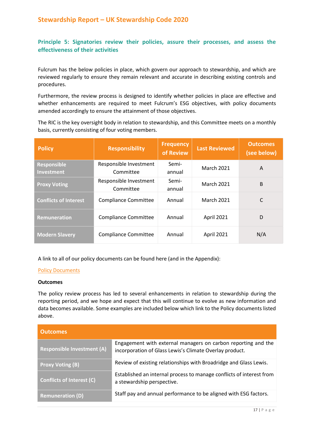### **Principle 5: Signatories review their policies, assure their processes, and assess the effectiveness of their activities**

Fulcrum has the below policies in place, which govern our approach to stewardship, and which are reviewed regularly to ensure they remain relevant and accurate in describing existing controls and procedures.

Furthermore, the review process is designed to identify whether policies in place are effective and whether enhancements are required to meet Fulcrum's ESG objectives, with policy documents amended accordingly to ensure the attainment of those objectives.

The RIC is the key oversight body in relation to stewardship, and this Committee meets on a monthly basis, currently consisting of four voting members.

| <b>Policy</b>                | <b>Responsibility</b>       | <b>Frequency</b><br>of Review | <b>Last Reviewed</b> | <b>Outcomes</b><br>(see below) |
|------------------------------|-----------------------------|-------------------------------|----------------------|--------------------------------|
| <b>Responsible</b>           | Responsible Investment      | Semi-                         | <b>March 2021</b>    | A                              |
| <b>Investment</b>            | Committee                   | annual                        |                      |                                |
| <b>Proxy Voting</b>          | Responsible Investment      | Semi-                         | <b>March 2021</b>    | <sub>B</sub>                   |
|                              | Committee                   | annual                        |                      |                                |
| <b>Conflicts of Interest</b> | <b>Compliance Committee</b> | Annual                        | <b>March 2021</b>    | C                              |
| <b>Remuneration</b>          | <b>Compliance Committee</b> | Annual                        | April 2021           | D                              |
| <b>Modern Slavery</b>        | <b>Compliance Committee</b> | Annual                        | April 2021           | N/A                            |

A link to all of our policy documents can be found here (and in the Appendix):

### [Policy Documents](https://www.fulcrumasset.com/inst/uk/en/important-information/)

#### **Outcomes**

The policy review process has led to several enhancements in relation to stewardship during the reporting period, and we hope and expect that this will continue to evolve as new information and data becomes available. Some examples are included below which link to the Policy documents listed above.

| <b>Outcomes</b>                   |                                                                                                                          |
|-----------------------------------|--------------------------------------------------------------------------------------------------------------------------|
| <b>Responsible Investment (A)</b> | Engagement with external managers on carbon reporting and the<br>incorporation of Glass Lewis's Climate Overlay product. |
| <b>Proxy Voting (B)</b>           | Review of existing relationships with Broadridge and Glass Lewis.                                                        |
| <b>Conflicts of Interest (C)</b>  | Established an internal process to manage conflicts of interest from<br>a stewardship perspective.                       |
| <b>Remuneration (D)</b>           | Staff pay and annual performance to be aligned with ESG factors.                                                         |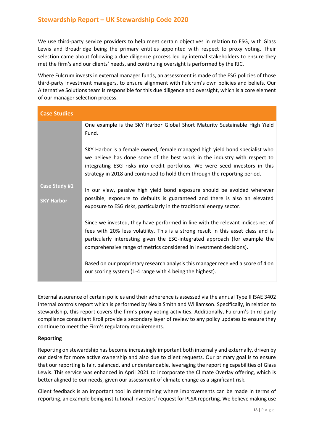We use third-party service providers to help meet certain objectives in relation to ESG, with Glass Lewis and Broadridge being the primary entities appointed with respect to proxy voting. Their selection came about following a due diligence process led by internal stakeholders to ensure they met the firm's and our clients' needs, and continuing oversight is performed by the RIC.

Where Fulcrum invests in external manager funds, an assessment is made of the ESG policies of those third-party investment managers, to ensure alignment with Fulcrum's own policies and beliefs. Our Alternative Solutions team is responsible for this due diligence and oversight, which is a core element of our manager selection process.

| <b>Case Studies</b> |                                                                                                                                                                                                                                                                                                                            |
|---------------------|----------------------------------------------------------------------------------------------------------------------------------------------------------------------------------------------------------------------------------------------------------------------------------------------------------------------------|
|                     | One example is the SKY Harbor Global Short Maturity Sustainable High Yield<br>Fund.                                                                                                                                                                                                                                        |
|                     | SKY Harbor is a female owned, female managed high yield bond specialist who<br>we believe has done some of the best work in the industry with respect to<br>integrating ESG risks into credit portfolios. We were seed investors in this<br>strategy in 2018 and continued to hold them through the reporting period.      |
| Case Study #1       | In our view, passive high yield bond exposure should be avoided wherever                                                                                                                                                                                                                                                   |
| <b>SKY Harbor</b>   | possible; exposure to defaults is guaranteed and there is also an elevated<br>exposure to ESG risks, particularly in the traditional energy sector.                                                                                                                                                                        |
|                     | Since we invested, they have performed in line with the relevant indices net of<br>fees with 20% less volatility. This is a strong result in this asset class and is<br>particularly interesting given the ESG-integrated approach (for example the<br>comprehensive range of metrics considered in investment decisions). |
|                     | Based on our proprietary research analysis this manager received a score of 4 on<br>our scoring system (1-4 range with 4 being the highest).                                                                                                                                                                               |

External assurance of certain policies and their adherence is assessed via the annual Type II ISAE 3402 internal controls report which is performed by Nexia Smith and Williamson. Specifically, in relation to stewardship, this report covers the firm's proxy voting activities. Additionally, Fulcrum's third-party compliance consultant Kroll provide a secondary layer of review to any policy updates to ensure they continue to meet the Firm's regulatory requirements.

### **Reporting**

Reporting on stewardship has become increasingly important both internally and externally, driven by our desire for more active ownership and also due to client requests. Our primary goal is to ensure that our reporting is fair, balanced, and understandable, leveraging the reporting capabilities of Glass Lewis. This service was enhanced in April 2021 to incorporate the Climate Overlay offering, which is better aligned to our needs, given our assessment of climate change as a significant risk.

Client feedback is an important tool in determining where improvements can be made in terms of reporting, an example being institutional investors' request for PLSA reporting. We believe making use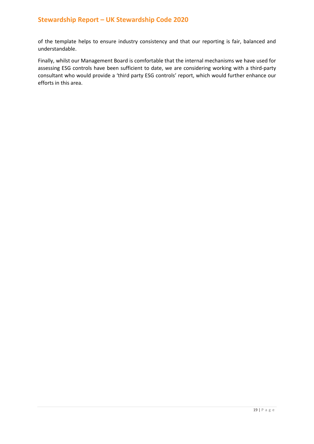of the template helps to ensure industry consistency and that our reporting is fair, balanced and understandable.

Finally, whilst our Management Board is comfortable that the internal mechanisms we have used for assessing ESG controls have been sufficient to date, we are considering working with a third-party consultant who would provide a 'third party ESG controls' report, which would further enhance our efforts in this area.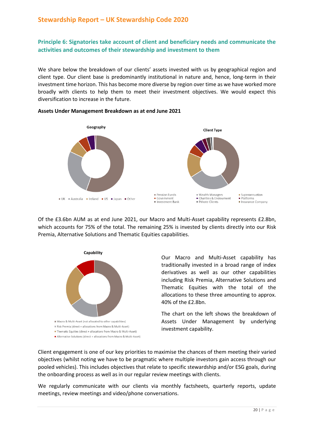### **Principle 6: Signatories take account of client and beneficiary needs and communicate the activities and outcomes of their stewardship and investment to them**

We share below the breakdown of our clients' assets invested with us by geographical region and client type. Our client base is predominantly institutional in nature and, hence, long-term in their investment time horizon. This has become more diverse by region over time as we have worked more broadly with clients to help them to meet their investment objectives. We would expect this diversification to increase in the future.



#### **Assets Under Management Breakdown as at end June 2021**

Of the £3.6bn AUM as at end June 2021, our Macro and Multi-Asset capability represents £2.8bn, which accounts for 75% of the total. The remaining 25% is invested by clients directly into our Risk Premia, Alternative Solutions and Thematic Equities capabilities.



Our Macro and Multi-Asset capability has traditionally invested in a broad range of index derivatives as well as our other capabilities including Risk Premia, Alternative Solutions and Thematic Equities with the total of the allocations to these three amounting to approx. 40% of the £2.8bn.

The chart on the left shows the breakdown of Assets Under Management by underlying investment capability.

Client engagement is one of our key priorities to maximise the chances of them meeting their varied objectives (whilst noting we have to be pragmatic where multiple investors gain access through our pooled vehicles). This includes objectives that relate to specific stewardship and/or ESG goals, during the onboarding process as well as in our regular review meetings with clients.

We regularly communicate with our clients via monthly factsheets, quarterly reports, update meetings, review meetings and video/phone conversations.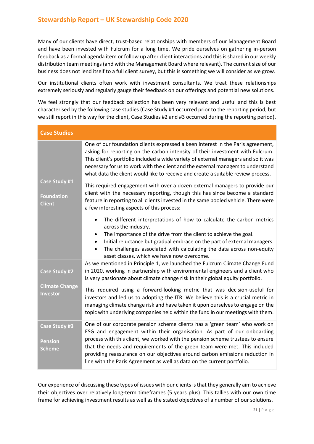Many of our clients have direct, trust-based relationships with members of our Management Board and have been invested with Fulcrum for a long time. We pride ourselves on gathering in-person feedback as a formal agenda item or follow up after client interactions and this is shared in our weekly distribution team meetings (and with the Management Board where relevant). The current size of our business does not lend itself to a full client survey, but this is something we will consider as we grow.

Our institutional clients often work with investment consultants. We treat these relationships extremely seriously and regularly gauge their feedback on our offerings and potential new solutions.

We feel strongly that our feedback collection has been very relevant and useful and this is best characterised by the following case studies (Case Study #1 occurred prior to the reporting period, but we still report in this way for the client, Case Studies #2 and #3 occurred during the reporting period).

| <b>Case Studies</b>                                     |                                                                                                                                                                                                                                                                                                                                                                                                                                                                                 |
|---------------------------------------------------------|---------------------------------------------------------------------------------------------------------------------------------------------------------------------------------------------------------------------------------------------------------------------------------------------------------------------------------------------------------------------------------------------------------------------------------------------------------------------------------|
|                                                         | One of our foundation clients expressed a keen interest in the Paris agreement,<br>asking for reporting on the carbon intensity of their investment with Fulcrum.<br>This client's portfolio included a wide variety of external managers and so it was<br>necessary for us to work with the client and the external managers to understand<br>what data the client would like to receive and create a suitable review process.                                                 |
| Case Study #1<br><b>Foundation</b><br><b>Client</b>     | This required engagement with over a dozen external managers to provide our<br>client with the necessary reporting, though this has since become a standard<br>feature in reporting to all clients invested in the same pooled vehicle. There were<br>a few interesting aspects of this process:                                                                                                                                                                                |
|                                                         | The different interpretations of how to calculate the carbon metrics<br>$\bullet$<br>across the industry.<br>The importance of the drive from the client to achieve the goal.<br>$\bullet$<br>Initial reluctance but gradual embrace on the part of external managers.<br>$\bullet$<br>The challenges associated with calculating the data across non-equity<br>asset classes, which we have now overcome.                                                                      |
| <b>Case Study #2</b>                                    | As we mentioned in Principle 1, we launched the Fulcrum Climate Change Fund<br>in 2020, working in partnership with environmental engineers and a client who<br>is very passionate about climate change risk in their global equity portfolio.                                                                                                                                                                                                                                  |
| <b>Climate Change</b><br>Investor                       | This required using a forward-looking metric that was decision-useful for<br>investors and led us to adopting the ITR. We believe this is a crucial metric in<br>managing climate change risk and have taken it upon ourselves to engage on the<br>topic with underlying companies held within the fund in our meetings with them.                                                                                                                                              |
| <b>Case Study #3</b><br><b>Pension</b><br><b>Scheme</b> | One of our corporate pension scheme clients has a 'green team' who work on<br>ESG and engagement within their organisation. As part of our onboarding<br>process with this client, we worked with the pension scheme trustees to ensure<br>that the needs and requirements of the green team were met. This included<br>providing reassurance on our objectives around carbon emissions reduction in<br>line with the Paris Agreement as well as data on the current portfolio. |

Our experience of discussing these types of issues with our clients is that they generally aim to achieve their objectives over relatively long-term timeframes (5 years plus). This tallies with our own time frame for achieving investment results as well as the stated objectives of a number of our solutions.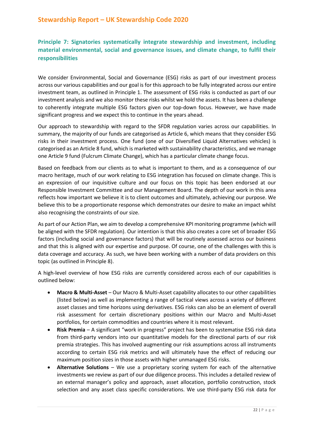**Principle 7: Signatories systematically integrate stewardship and investment, including material environmental, social and governance issues, and climate change, to fulfil their responsibilities**

We consider Environmental, Social and Governance (ESG) risks as part of our investment process across our various capabilities and our goal is for this approach to be fully integrated across our entire investment team, as outlined in Principle 1. The assessment of ESG risks is conducted as part of our investment analysis and we also monitor these risks whilst we hold the assets. It has been a challenge to coherently integrate multiple ESG factors given our top-down focus. However, we have made significant progress and we expect this to continue in the years ahead.

Our approach to stewardship with regard to the SFDR regulation varies across our capabilities. In summary, the majority of our funds are categorised as Article 6, which means that they consider ESG risks in their investment process. One fund (one of our Diversified Liquid Alternatives vehicles) is categorised as an Article 8 fund, which is marketed with sustainability characteristics, and we manage one Article 9 fund (Fulcrum Climate Change), which has a particular climate change focus.

Based on feedback from our clients as to what is important to them, and as a consequence of our macro heritage, much of our work relating to ESG integration has focused on climate change. This is an expression of our inquisitive culture and our focus on this topic has been endorsed at our Responsible Investment Committee and our Management Board. The depth of our work in this area reflects how important we believe it is to client outcomes and ultimately, achieving our purpose. We believe this to be a proportionate response which demonstrates our desire to make an impact whilst also recognising the constraints of our size.

As part of our Action Plan, we aim to develop a comprehensive KPI monitoring programme (which will be aligned with the SFDR regulation). Our intention is that this also creates a core set of broader ESG factors (including social and governance factors) that will be routinely assessed across our business and that this is aligned with our expertise and purpose. Of course, one of the challenges with this is data coverage and accuracy. As such, we have been working with a number of data providers on this topic (as outlined in Principle 8).

A high-level overview of how ESG risks are currently considered across each of our capabilities is outlined below:

- **Macro & Multi-Asset**  Our Macro & Multi-Asset capability allocates to our other capabilities (listed below) as well as implementing a range of tactical views across a variety of different asset classes and time horizons using derivatives. ESG risks can also be an element of overall risk assessment for certain discretionary positions within our Macro and Multi-Asset portfolios, for certain commodities and countries where it is most relevant.
- **Risk Premia**  A significant "work in progress" project has been to systematise ESG risk data from third-party vendors into our quantitative models for the directional parts of our risk premia strategies. This has involved augmenting our risk assumptions across all instruments according to certain ESG risk metrics and will ultimately have the effect of reducing our maximum position sizes in those assets with higher unmanaged ESG risks.
- **Alternative Solutions**  We use a proprietary scoring system for each of the alternative investments we review as part of our due diligence process. This includes a detailed review of an external manager's policy and approach, asset allocation, portfolio construction, stock selection and any asset class specific considerations. We use third-party ESG risk data for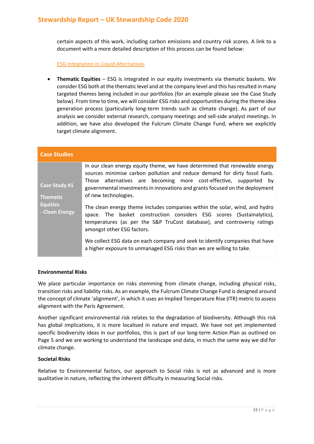certain aspects of this work, including carbon emissions and country risk scores. A link to a document with a more detailed description of this process can be found below:

[ESG Integration in Liquid Alternatives](https://www.fulcrumasset.com/inst/uk/en/white-papers/thoughts-on-responsible-investing-in-alternatives/)

• **Thematic Equities** – ESG is integrated in our equity investments via thematic baskets. We consider ESG both at the thematic level and at the company level and this has resulted in many targeted themes being included in our portfolios (for an example please see the Case Study below). From time to time, we will consider ESG risks and opportunities during the theme idea generation process (particularly long-term trends such as climate change). As part of our analysis we consider external research, company meetings and sell-side analyst meetings. In addition, we have also developed the Fulcrum Climate Change Fund, where we explicitly target climate alignment.

| <b>Case Studies</b>                                                   |                                                                                                                                                                                                                                                                                                                                        |
|-----------------------------------------------------------------------|----------------------------------------------------------------------------------------------------------------------------------------------------------------------------------------------------------------------------------------------------------------------------------------------------------------------------------------|
| Case Study #1<br><b>Thematic</b><br><b>Equities</b><br>- Clean Energy | In our clean energy equity theme, we have determined that renewable energy<br>sources minimise carbon pollution and reduce demand for dirty fossil fuels.<br>Those alternatives are becoming more cost-effective, supported by<br>governmental investments in innovations and grants focused on the deployment<br>of new technologies. |
|                                                                       | The clean energy theme includes companies within the solar, wind, and hydro<br>space. The basket construction considers ESG scores (Sustainalytics),<br>temperatures (as per the S&P TruCost database), and controversy ratings<br>amongst other ESG factors.                                                                          |
|                                                                       | We collect ESG data on each company and seek to identify companies that have<br>a higher exposure to unmanaged ESG risks than we are willing to take.                                                                                                                                                                                  |

### **Environmental Risks**

We place particular importance on risks stemming from climate change, including physical risks, transition risks and liability risks. As an example, the Fulcrum Climate Change Fund is designed around the concept of climate 'alignment', in which it uses an Implied Temperature Rise (ITR) metric to assess alignment with the Paris Agreement.

Another significant environmental risk relates to the degradation of biodiversity. Although this risk has global implications, it is more localised in nature and impact. We have not yet implemented specific biodiversity ideas in our portfolios, this is part of our long-term Action Plan as outlined on Page 5 and we are working to understand the landscape and data, in much the same way we did for climate change.

### **Societal Risks**

Relative to Environmental factors, our approach to Social risks is not as advanced and is more qualitative in nature, reflecting the inherent difficulty in measuring Social risks.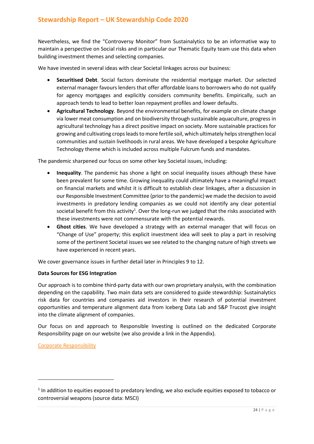Nevertheless, we find the "Controversy Monitor" from Sustainalytics to be an informative way to maintain a perspective on Social risks and in particular our Thematic Equity team use this data when building investment themes and selecting companies.

We have invested in several ideas with clear Societal linkages across our business:

- **Securitised Debt**. Social factors dominate the residential mortgage market. Our selected external manager favours lenders that offer affordable loans to borrowers who do not qualify for agency mortgages and explicitly considers community benefits. Empirically, such an approach tends to lead to better loan repayment profiles and lower defaults.
- **Agricultural Technology**. Beyond the environmental benefits, for example on climate change via lower meat consumption and on biodiversity through sustainable aquaculture, progress in agricultural technology has a direct positive impact on society. More sustainable practices for growing and cultivating crops leads to more fertile soil, which ultimately helps strengthen local communities and sustain livelihoods in rural areas. We have developed a bespoke Agriculture Technology theme which is included across multiple Fulcrum funds and mandates.

The pandemic sharpened our focus on some other key Societal issues, including:

- **Inequality**. The pandemic has shone a light on social inequality issues although these have been prevalent for some time. Growing inequality could ultimately have a meaningful impact on financial markets and whilst it is difficult to establish clear linkages, after a discussion in our Responsible Investment Committee (prior to the pandemic) we made the decision to avoid investments in predatory lending companies as we could not identify any clear potential societal benefit from this activity<sup>1</sup>. Over the long-run we judged that the risks associated with these investments were not commensurate with the potential rewards.
- **Ghost cities**. We have developed a strategy with an external manager that will focus on "Change of Use" property; this explicit investment idea will seek to play a part in resolving some of the pertinent Societal issues we see related to the changing nature of high streets we have experienced in recent years.

We cover governance issues in further detail later in Principles 9 to 12.

### **Data Sources for ESG Integration**

Our approach is to combine third-party data with our own proprietary analysis, with the combination depending on the capability. Two main data sets are considered to guide stewardship: Sustainalytics risk data for countries and companies aid investors in their research of potential investment opportunities and temperature alignment data from Iceberg Data Lab and S&P Trucost give insight into the climate alignment of companies.

Our focus on and approach to Responsible Investing is outlined on the dedicated Corporate Responsibility page on our website (we also provide a link in the Appendix).

[Corporate Responsibility](https://www.fulcrumasset.com/inst/uk/en/about-us/corporate-responsibility/) 

<sup>&</sup>lt;sup>1</sup> In addition to equities exposed to predatory lending, we also exclude equities exposed to tobacco or controversial weapons (source data: MSCI)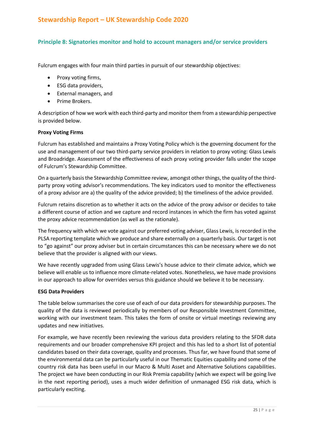### **Principle 8: Signatories monitor and hold to account managers and/or service providers**

Fulcrum engages with four main third parties in pursuit of our stewardship objectives:

- Proxy voting firms,
- ESG data providers,
- External managers, and
- Prime Brokers.

A description of how we work with each third-party and monitor them from a stewardship perspective is provided below.

### **Proxy Voting Firms**

Fulcrum has established and maintains a Proxy Voting Policy which is the governing document for the use and management of our two third-party service providers in relation to proxy voting: Glass Lewis and Broadridge. Assessment of the effectiveness of each proxy voting provider falls under the scope of Fulcrum's Stewardship Committee.

On a quarterly basis the Stewardship Committee review, amongst other things, the quality of the thirdparty proxy voting advisor's recommendations. The key indicators used to monitor the effectiveness of a proxy advisor are a) the quality of the advice provided; b) the timeliness of the advice provided.

Fulcrum retains discretion as to whether it acts on the advice of the proxy advisor or decides to take a different course of action and we capture and record instances in which the firm has voted against the proxy advice recommendation (as well as the rationale).

The frequency with which we vote against our preferred voting adviser, Glass Lewis, is recorded in the PLSA reporting template which we produce and share externally on a quarterly basis. Our target is not to "go against" our proxy adviser but in certain circumstances this can be necessary where we do not believe that the provider is aligned with our views.

We have recently upgraded from using Glass Lewis's house advice to their climate advice, which we believe will enable us to influence more climate-related votes. Nonetheless, we have made provisions in our approach to allow for overrides versus this guidance should we believe it to be necessary.

### **ESG Data Providers**

The table below summarises the core use of each of our data providers for stewardship purposes. The quality of the data is reviewed periodically by members of our Responsible Investment Committee, working with our investment team. This takes the form of onsite or virtual meetings reviewing any updates and new initiatives.

For example, we have recently been reviewing the various data providers relating to the SFDR data requirements and our broader comprehensive KPI project and this has led to a short list of potential candidates based on their data coverage, quality and processes. Thus far, we have found that some of the environmental data can be particularly useful in our Thematic Equities capability and some of the country risk data has been useful in our Macro & Multi Asset and Alternative Solutions capabilities. The project we have been conducting in our Risk Premia capability (which we expect will be going live in the next reporting period), uses a much wider definition of unmanaged ESG risk data, which is particularly exciting.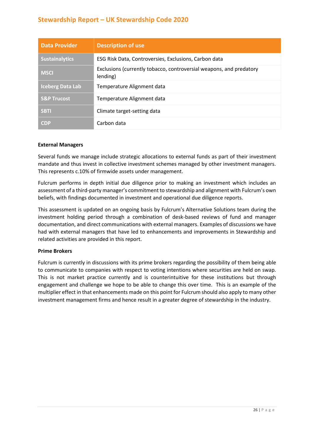| <b>Data Provider</b>    | <b>Description of use</b>                                                       |
|-------------------------|---------------------------------------------------------------------------------|
| <b>Sustainalytics</b>   | ESG Risk Data, Controversies, Exclusions, Carbon data                           |
| <b>MSCI</b>             | Exclusions (currently tobacco, controversial weapons, and predatory<br>lending) |
| <b>Iceberg Data Lab</b> | Temperature Alignment data                                                      |
| <b>S&amp;P Trucost</b>  | Temperature Alignment data                                                      |
| <b>SBTI</b>             | Climate target-setting data                                                     |
| <b>CDP</b>              | Carbon data                                                                     |

### **External Managers**

Several funds we manage include strategic allocations to external funds as part of their investment mandate and thus invest in collective investment schemes managed by other investment managers. This represents c.10% of firmwide assets under management.

Fulcrum performs in depth initial due diligence prior to making an investment which includes an assessment of a third-party manager's commitment to stewardship and alignment with Fulcrum's own beliefs, with findings documented in investment and operational due diligence reports.

This assessment is updated on an ongoing basis by Fulcrum's Alternative Solutions team during the investment holding period through a combination of desk-based reviews of fund and manager documentation, and direct communications with external managers. Examples of discussions we have had with external managers that have led to enhancements and improvements in Stewardship and related activities are provided in this report.

### **Prime Brokers**

Fulcrum is currently in discussions with its prime brokers regarding the possibility of them being able to communicate to companies with respect to voting intentions where securities are held on swap. This is not market practice currently and is counterintuitive for these institutions but through engagement and challenge we hope to be able to change this over time. This is an example of the multiplier effect in that enhancements made on this point for Fulcrum should also apply to many other investment management firms and hence result in a greater degree of stewardship in the industry.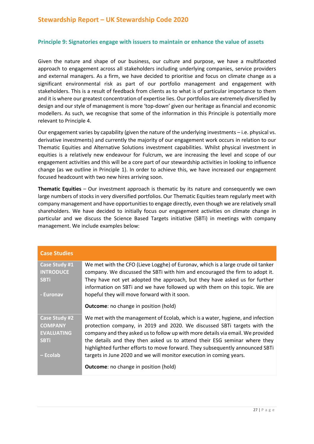### **Principle 9: Signatories engage with issuers to maintain or enhance the value of assets**

Given the nature and shape of our business, our culture and purpose, we have a multifaceted approach to engagement across all stakeholders including underlying companies, service providers and external managers. As a firm, we have decided to prioritise and focus on climate change as a significant environmental risk as part of our portfolio management and engagement with stakeholders. This is a result of feedback from clients as to what is of particular importance to them and it is where our greatest concentration of expertise lies. Our portfolios are extremely diversified by design and our style of management is more 'top-down' given our heritage as financial and economic modellers. As such, we recognise that some of the information in this Principle is potentially more relevant to Principle 4.

Our engagement varies by capability (given the nature of the underlying investments – i.e. physical vs. derivative investments) and currently the majority of our engagement work occurs in relation to our Thematic Equities and Alternative Solutions investment capabilities. Whilst physical investment in equities is a relatively new endeavour for Fulcrum, we are increasing the level and scope of our engagement activities and this will be a core part of our stewardship activities in looking to influence change (as we outline in Principle 1). In order to achieve this, we have increased our engagement focused headcount with two new hires arriving soon.

**Thematic Equities** – Our investment approach is thematic by its nature and consequently we own large numbers of stocks in very diversified portfolios. Our Thematic Equities team regularly meet with company management and have opportunities to engage directly, even though we are relatively small shareholders. We have decided to initially focus our engagement activities on climate change in particular and we discuss the Science Based Targets initiative (SBTi) in meetings with company management. We include examples below:

| <b>Case Studies</b>                                                             |                                                                                                                                                                                                                                                                                                                                                                                                                                                                                    |
|---------------------------------------------------------------------------------|------------------------------------------------------------------------------------------------------------------------------------------------------------------------------------------------------------------------------------------------------------------------------------------------------------------------------------------------------------------------------------------------------------------------------------------------------------------------------------|
| Case Study #1<br><b>INTRODUCE</b><br><b>SBTi</b><br>- Euronav                   | We met with the CFO (Lieve Logghe) of Euronav, which is a large crude oil tanker<br>company. We discussed the SBTi with him and encouraged the firm to adopt it.<br>They have not yet adopted the approach, but they have asked us for further<br>information on SBTi and we have followed up with them on this topic. We are<br>hopeful they will move forward with it soon.                                                                                                      |
|                                                                                 | <b>Outcome:</b> no change in position (hold)                                                                                                                                                                                                                                                                                                                                                                                                                                       |
| Case Study #2<br><b>COMPANY</b><br><b>EVALUATING</b><br><b>SBTi</b><br>– Ecolab | We met with the management of Ecolab, which is a water, hygiene, and infection<br>protection company, in 2019 and 2020. We discussed SBTi targets with the<br>company and they asked us to follow up with more details via email. We provided<br>the details and they then asked us to attend their ESG seminar where they<br>highlighted further efforts to move forward. They subsequently announced SBTi<br>targets in June 2020 and we will monitor execution in coming years. |
|                                                                                 | <b>Outcome:</b> no change in position (hold)                                                                                                                                                                                                                                                                                                                                                                                                                                       |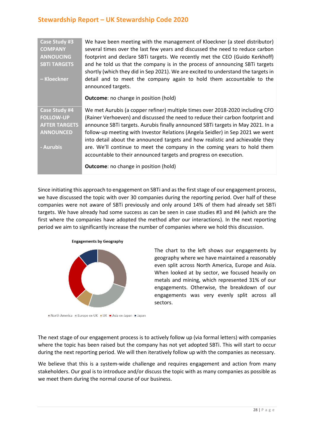| <b>Case Study #3</b><br><b>COMPANY</b><br><b>ANNOUCING</b><br><b>SBTI TARGETS</b><br>– Kloeckner | We have been meeting with the management of Kloeckner (a steel distributor)<br>several times over the last few years and discussed the need to reduce carbon<br>footprint and declare SBTi targets. We recently met the CEO (Guido Kerkhoff)<br>and he told us that the company is in the process of announcing SBTi targets<br>shortly (which they did in Sep 2021). We are excited to understand the targets in<br>detail and to meet the company again to hold them accountable to the<br>announced targets.<br><b>Outcome:</b> no change in position (hold)        |
|--------------------------------------------------------------------------------------------------|------------------------------------------------------------------------------------------------------------------------------------------------------------------------------------------------------------------------------------------------------------------------------------------------------------------------------------------------------------------------------------------------------------------------------------------------------------------------------------------------------------------------------------------------------------------------|
| Case Study #4<br><b>FOLLOW-UP</b><br><b>AFTER TARGETS</b><br><b>ANNOUNCED</b><br>- Aurubis       | We met Aurubis (a copper refiner) multiple times over 2018-2020 including CFO<br>(Rainer Verhoeven) and discussed the need to reduce their carbon footprint and<br>announce SBTi targets. Aurubis finally announced SBTi targets in May 2021. In a<br>follow-up meeting with Investor Relations (Angela Seidler) in Sep 2021 we went<br>into detail about the announced targets and how realistic and achievable they<br>are. We'll continue to meet the company in the coming years to hold them<br>accountable to their announced targets and progress on execution. |
|                                                                                                  | <b>Outcome:</b> no change in position (hold)                                                                                                                                                                                                                                                                                                                                                                                                                                                                                                                           |

Since initiating this approach to engagement on SBTi and as the first stage of our engagement process, we have discussed the topic with over 30 companies during the reporting period. Over half of these companies were not aware of SBTi previously and only around 14% of them had already set SBTi targets. We have already had some success as can be seen in case studies #3 and #4 (which are the first where the companies have adopted the method after our interactions). In the next reporting period we aim to significantly increase the number of companies where we hold this discussion.



The chart to the left shows our engagements by geography where we have maintained a reasonably even split across North America, Europe and Asia. When looked at by sector, we focused heavily on metals and mining, which represented 31% of our engagements. Otherwise, the breakdown of our engagements was very evenly split across all sectors.

North America Europe ex-UK UK Asia ex-Japan Japan

The next stage of our engagement process is to actively follow up (via formal letters) with companies where the topic has been raised but the company has not yet adopted SBTi. This will start to occur during the next reporting period. We will then iteratively follow up with the companies as necessary.

We believe that this is a system-wide challenge and requires engagement and action from many stakeholders. Our goal is to introduce and/or discuss the topic with as many companies as possible as we meet them during the normal course of our business.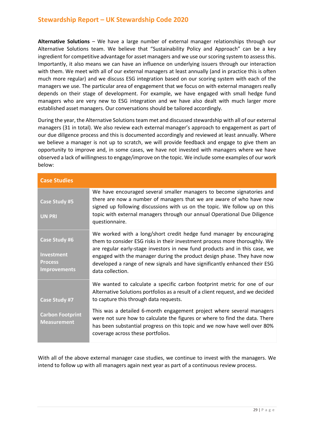Alternative Solutions - We have a large number of external manager relationships through our Alternative Solutions team. We believe that "Sustainability Policy and Approach" can be a key ingredient for competitive advantage for asset managers and we use our scoring system to assess this. Importantly, it also means we can have an influence on underlying issuers through our interaction with them. We meet with all of our external managers at least annually (and in practice this is often much more regular) and we discuss ESG integration based on our scoring system with each of the managers we use. The particular area of engagement that we focus on with external managers really depends on their stage of development. For example, we have engaged with small hedge fund managers who are very new to ESG integration and we have also dealt with much larger more established asset managers. Our conversations should be tailored accordingly.

During the year, the Alternative Solutions team met and discussed stewardship with all of our external managers (31 in total). We also review each external manager's approach to engagement as part of our due diligence process and this is documented accordingly and reviewed at least annually. Where we believe a manager is not up to scratch, we will provide feedback and engage to give them an opportunity to improve and, in some cases, we have not invested with managers where we have observed a lack of willingness to engage/improve on the topic. We include some examples of our work below:

| <b>Case Studies</b>                                                         |                                                                                                                                                                                                                                                                                                                                                                                                                |
|-----------------------------------------------------------------------------|----------------------------------------------------------------------------------------------------------------------------------------------------------------------------------------------------------------------------------------------------------------------------------------------------------------------------------------------------------------------------------------------------------------|
| <b>Case Study #5</b><br><b>UN PRI</b>                                       | We have encouraged several smaller managers to become signatories and<br>there are now a number of managers that we are aware of who have now<br>signed up following discussions with us on the topic. We follow up on this<br>topic with external managers through our annual Operational Due Diligence<br>questionnaire.                                                                                     |
| Case Study #6<br><b>Investment</b><br><b>Process</b><br><b>Improvements</b> | We worked with a long/short credit hedge fund manager by encouraging<br>them to consider ESG risks in their investment process more thoroughly. We<br>are regular early-stage investors in new fund products and in this case, we<br>engaged with the manager during the product design phase. They have now<br>developed a range of new signals and have significantly enhanced their ESG<br>data collection. |
| Case Study #7                                                               | We wanted to calculate a specific carbon footprint metric for one of our<br>Alternative Solutions portfolios as a result of a client request, and we decided<br>to capture this through data requests.                                                                                                                                                                                                         |
| <b>Carbon Footprint</b><br><b>Measurement</b>                               | This was a detailed 6-month engagement project where several managers<br>were not sure how to calculate the figures or where to find the data. There<br>has been substantial progress on this topic and we now have well over 80%<br>coverage across these portfolios.                                                                                                                                         |

With all of the above external manager case studies, we continue to invest with the managers. We intend to follow up with all managers again next year as part of a continuous review process.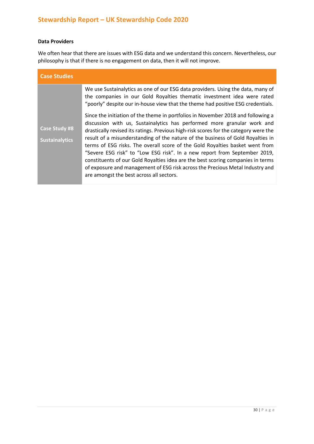### **Data Providers**

We often hear that there are issues with ESG data and we understand this concern. Nevertheless, our philosophy is that if there is no engagement on data, then it will not improve.

| <b>Case Studies</b>                           |                                                                                                                                                                                                                                                                                                                                                                                                                                                                                                                                                                                                                                                                                                                                                                                                                                                                                                                                                                      |
|-----------------------------------------------|----------------------------------------------------------------------------------------------------------------------------------------------------------------------------------------------------------------------------------------------------------------------------------------------------------------------------------------------------------------------------------------------------------------------------------------------------------------------------------------------------------------------------------------------------------------------------------------------------------------------------------------------------------------------------------------------------------------------------------------------------------------------------------------------------------------------------------------------------------------------------------------------------------------------------------------------------------------------|
| <b>Case Study #8</b><br><b>Sustainalytics</b> | We use Sustainalytics as one of our ESG data providers. Using the data, many of<br>the companies in our Gold Royalties thematic investment idea were rated<br>"poorly" despite our in-house view that the theme had positive ESG credentials.<br>Since the initiation of the theme in portfolios in November 2018 and following a<br>discussion with us, Sustainalytics has performed more granular work and<br>drastically revised its ratings. Previous high-risk scores for the category were the<br>result of a misunderstanding of the nature of the business of Gold Royalties in<br>terms of ESG risks. The overall score of the Gold Royalties basket went from<br>"Severe ESG risk" to "Low ESG risk". In a new report from September 2019,<br>constituents of our Gold Royalties idea are the best scoring companies in terms<br>of exposure and management of ESG risk across the Precious Metal Industry and<br>are amongst the best across all sectors. |
|                                               |                                                                                                                                                                                                                                                                                                                                                                                                                                                                                                                                                                                                                                                                                                                                                                                                                                                                                                                                                                      |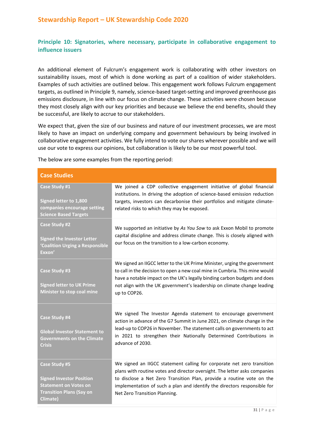### **Principle 10: Signatories, where necessary, participate in collaborative engagement to influence issuers**

An additional element of Fulcrum's engagement work is collaborating with other investors on sustainability issues, most of which is done working as part of a coalition of wider stakeholders. Examples of such activities are outlined below. This engagement work follows Fulcrum engagement targets, as outlined in Principle 9, namely, science-based target-setting and improved greenhouse gas emissions disclosure, in line with our focus on climate change. These activities were chosen because they most closely align with our key priorities and because we believe the end benefits, should they be successful, are likely to accrue to our stakeholders.

We expect that, given the size of our business and nature of our investment processes, we are most likely to have an impact on underlying company and government behaviours by being involved in collaborative engagement activities. We fully intend to vote our shares wherever possible and we will use our vote to express our opinions, but collaboration is likely to be our most powerful tool.

The below are some examples from the reporting period:

| <b>Case Studies</b>                                                                                                                    |                                                                                                                                                                                                                                                                                                                                            |
|----------------------------------------------------------------------------------------------------------------------------------------|--------------------------------------------------------------------------------------------------------------------------------------------------------------------------------------------------------------------------------------------------------------------------------------------------------------------------------------------|
| Case Study #1<br>Signed letter to 1,800<br>companies encourage setting<br><b>Science Based Targets</b>                                 | We joined a CDP collective engagement initiative of global financial<br>institutions. In driving the adoption of science-based emission reduction<br>targets, investors can decarbonise their portfolios and mitigate climate-<br>related risks to which they may be exposed.                                                              |
| <b>Case Study #2</b><br><b>Signed the Investor Letter</b><br>'Coalition Urging a Responsible<br>Exxon'                                 | We supported an initiative by As You Sow to ask Exxon Mobil to promote<br>capital discipline and address climate change. This is closely aligned with<br>our focus on the transition to a low-carbon economy.                                                                                                                              |
| Case Study #3<br><b>Signed letter to UK Prime</b><br>Minister to stop coal mine                                                        | We signed an IIGCC letter to the UK Prime Minister, urging the government<br>to call in the decision to open a new coal mine in Cumbria. This mine would<br>have a notable impact on the UK's legally binding carbon budgets and does<br>not align with the UK government's leadership on climate change leading<br>up to COP26.           |
| Case Study #4<br><b>Global Investor Statement to</b><br><b>Governments on the Climate</b><br>Crisis                                    | We signed The Investor Agenda statement to encourage government<br>action in advance of the G7 Summit in June 2021, on climate change in the<br>lead-up to COP26 in November. The statement calls on governments to act<br>in 2021 to strengthen their Nationally Determined Contributions in<br>advance of 2030.                          |
| <b>Case Study #5</b><br><b>Signed Investor Position</b><br><b>Statement on Votes on</b><br><b>Transition Plans (Say on</b><br>Climate) | We signed an IIGCC statement calling for corporate net zero transition<br>plans with routine votes and director oversight. The letter asks companies<br>to disclose a Net Zero Transition Plan, provide a routine vote on the<br>implementation of such a plan and identify the directors responsible for<br>Net Zero Transition Planning. |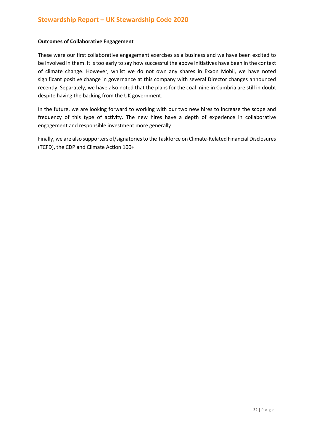#### **Outcomes of Collaborative Engagement**

These were our first collaborative engagement exercises as a business and we have been excited to be involved in them. It is too early to say how successful the above initiatives have been in the context of climate change. However, whilst we do not own any shares in Exxon Mobil, we have noted significant positive change in governance at this company with several Director changes announced recently. Separately, we have also noted that the plans for the coal mine in Cumbria are still in doubt despite having the backing from the UK government.

In the future, we are looking forward to working with our two new hires to increase the scope and frequency of this type of activity. The new hires have a depth of experience in collaborative engagement and responsible investment more generally.

Finally, we are also supporters of/signatories to the Taskforce on Climate-Related Financial Disclosures (TCFD), the CDP and Climate Action 100+.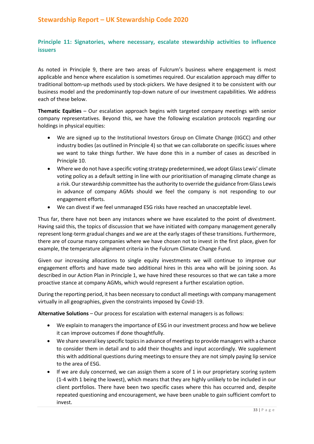### **Principle 11: Signatories, where necessary, escalate stewardship activities to influence issuers**

As noted in Principle 9, there are two areas of Fulcrum's business where engagement is most applicable and hence where escalation is sometimes required. Our escalation approach may differ to traditional bottom-up methods used by stock-pickers. We have designed it to be consistent with our business model and the predominantly top-down nature of our investment capabilities. We address each of these below.

**Thematic Equities** – Our escalation approach begins with targeted company meetings with senior company representatives. Beyond this, we have the following escalation protocols regarding our holdings in physical equities:

- We are signed up to the Institutional Investors Group on Climate Change (IIGCC) and other industry bodies (as outlined in Principle 4) so that we can collaborate on specific issues where we want to take things further. We have done this in a number of cases as described in Principle 10.
- Where we do not have a specific voting strategy predetermined, we adopt Glass Lewis' climate voting policy as a default setting in line with our prioritisation of managing climate change as a risk. Our stewardship committee has the authority to override the guidance from Glass Lewis in advance of company AGMs should we feel the company is not responding to our engagement efforts.
- We can divest if we feel unmanaged ESG risks have reached an unacceptable level.

Thus far, there have not been any instances where we have escalated to the point of divestment. Having said this, the topics of discussion that we have initiated with company management generally represent long-term gradual changes and we are at the early stages of these transitions. Furthermore, there are of course many companies where we have chosen not to invest in the first place, given for example, the temperature alignment criteria in the Fulcrum Climate Change Fund.

Given our increasing allocations to single equity investments we will continue to improve our engagement efforts and have made two additional hires in this area who will be joining soon. As described in our Action Plan in Principle 1, we have hired these resources so that we can take a more proactive stance at company AGMs, which would represent a further escalation option.

During the reporting period, it has been necessary to conduct all meetings with company management virtually in all geographies, given the constraints imposed by Covid-19.

**Alternative Solutions** – Our process for escalation with external managers is as follows:

- We explain to managers the importance of ESG in our investment process and how we believe it can improve outcomes if done thoughtfully.
- We share several key specific topics in advance of meetings to provide managers with a chance to consider them in detail and to add their thoughts and input accordingly. We supplement this with additional questions during meetings to ensure they are not simply paying lip service to the area of ESG.
- If we are duly concerned, we can assign them a score of 1 in our proprietary scoring system (1-4 with 1 being the lowest), which means that they are highly unlikely to be included in our client portfolios. There have been two specific cases where this has occurred and, despite repeated questioning and encouragement, we have been unable to gain sufficient comfort to invest.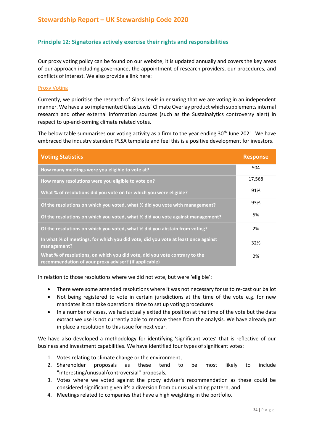### **Principle 12: Signatories actively exercise their rights and responsibilities**

Our proxy voting policy can be found on our website, it is updated annually and covers the key areas of our approach including governance, the appointment of research providers, our procedures, and conflicts of interest. We also provide a link here:

### [Proxy Voting](https://www.fulcrumasset.com/uploads/2021/10/a8491243fcd9a0fc74b310efa846ccba/proxy-voting-policy.pdf)

Currently, we prioritise the research of Glass Lewis in ensuring that we are voting in an independent manner. We have also implemented Glass Lewis' Climate Overlay product which supplements internal research and other external information sources (such as the Sustainalytics controversy alert) in respect to up-and-coming climate related votes.

The below table summarises our voting activity as a firm to the year ending 30<sup>th</sup> June 2021. We have embraced the industry standard PLSA template and feel this is a positive development for investors.

| <b>Voting Statistics</b>                                                                                                            | <b>Response</b> |
|-------------------------------------------------------------------------------------------------------------------------------------|-----------------|
| How many meetings were you eligible to vote at?                                                                                     | 504             |
| How many resolutions were you eligible to vote on?                                                                                  | 17,568          |
| What % of resolutions did you vote on for which you were eligible?                                                                  | 91%             |
| Of the resolutions on which you voted, what % did you vote with management?                                                         | 93%             |
| Of the resolutions on which you voted, what % did you vote against management?                                                      | 5%              |
| Of the resolutions on which you voted, what % did you abstain from voting?                                                          | 2%              |
| In what % of meetings, for which you did vote, did you vote at least once against<br>management?                                    | 32%             |
| What % of resolutions, on which you did vote, did you vote contrary to the<br>recommendation of your proxy adviser? (if applicable) | 2%              |

In relation to those resolutions where we did not vote, but were 'eligible':

- There were some amended resolutions where it was not necessary for us to re-cast our ballot
- Not being registered to vote in certain jurisdictions at the time of the vote e.g. for new mandates it can take operational time to set up voting procedures
- In a number of cases, we had actually exited the position at the time of the vote but the data extract we use is not currently able to remove these from the analysis. We have already put in place a resolution to this issue for next year.

We have also developed a methodology for identifying 'significant votes' that is reflective of our business and investment capabilities. We have identified four types of significant votes:

- 1. Votes relating to climate change or the environment,
- 2. Shareholder proposals as these tend to be most likely to include "interesting/unusual/controversial" proposals,
- 3. Votes where we voted against the proxy adviser's recommendation as these could be considered significant given it's a diversion from our usual voting pattern, and
- 4. Meetings related to companies that have a high weighting in the portfolio.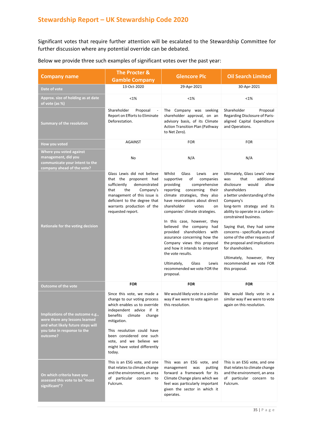Significant votes that require further attention will be escalated to the Stewardship Committee for further discussion where any potential override can be debated.

| <b>Company name</b>                                                                                                                                 | The Procter &                                                                                                                                                                                                                                                                                      | <b>Glencore Plc</b>                                                                                                                                                                                                                                                                                                                                                                                                                                                                                                                                                | <b>Oil Search Limited</b>                                                                                                                                                                                                                                                                                                                                                                                                                                                           |
|-----------------------------------------------------------------------------------------------------------------------------------------------------|----------------------------------------------------------------------------------------------------------------------------------------------------------------------------------------------------------------------------------------------------------------------------------------------------|--------------------------------------------------------------------------------------------------------------------------------------------------------------------------------------------------------------------------------------------------------------------------------------------------------------------------------------------------------------------------------------------------------------------------------------------------------------------------------------------------------------------------------------------------------------------|-------------------------------------------------------------------------------------------------------------------------------------------------------------------------------------------------------------------------------------------------------------------------------------------------------------------------------------------------------------------------------------------------------------------------------------------------------------------------------------|
|                                                                                                                                                     | <b>Gamble Company</b>                                                                                                                                                                                                                                                                              |                                                                                                                                                                                                                                                                                                                                                                                                                                                                                                                                                                    |                                                                                                                                                                                                                                                                                                                                                                                                                                                                                     |
| Date of vote                                                                                                                                        | 13-Oct-2020                                                                                                                                                                                                                                                                                        | 29-Apr-2021                                                                                                                                                                                                                                                                                                                                                                                                                                                                                                                                                        | 30-Apr-2021                                                                                                                                                                                                                                                                                                                                                                                                                                                                         |
| Approx. size of holding as at date<br>of vote (as %)                                                                                                | <1%                                                                                                                                                                                                                                                                                                | <1%                                                                                                                                                                                                                                                                                                                                                                                                                                                                                                                                                                | $< 1\%$                                                                                                                                                                                                                                                                                                                                                                                                                                                                             |
| <b>Summary of the resolution</b>                                                                                                                    | Shareholder<br>Proposal<br>Report on Efforts to Eliminate<br>Deforestation.                                                                                                                                                                                                                        | The Company was seeking<br>shareholder approval, on an<br>advisory basis, of its Climate<br><b>Action Transition Plan (Pathway</b><br>to Net Zero).                                                                                                                                                                                                                                                                                                                                                                                                                | Shareholder<br>Proposal<br>Regarding Disclosure of Paris-<br>aligned Capital Expenditure<br>and Operations.                                                                                                                                                                                                                                                                                                                                                                         |
| How you voted                                                                                                                                       | <b>AGAINST</b>                                                                                                                                                                                                                                                                                     | <b>FOR</b>                                                                                                                                                                                                                                                                                                                                                                                                                                                                                                                                                         | <b>FOR</b>                                                                                                                                                                                                                                                                                                                                                                                                                                                                          |
| Where you voted against<br>management, did you<br>communicate your intent to the<br>company ahead of the vote?                                      | No                                                                                                                                                                                                                                                                                                 | N/A                                                                                                                                                                                                                                                                                                                                                                                                                                                                                                                                                                | N/A                                                                                                                                                                                                                                                                                                                                                                                                                                                                                 |
| Rationale for the voting decision                                                                                                                   | Glass Lewis did not believe<br>that the proponent had<br>sufficiently<br>demonstrated<br>that<br>the<br>Company's<br>management of this issue is<br>deficient to the degree that<br>warrants production of the<br>requested report.                                                                | Whilst<br>Glass<br>Lewis<br>are<br>of<br>supportive<br>companies<br>providing<br>comprehensive<br>reporting<br>concerning<br>their<br>climate strategies, they also<br>have reservations about direct<br>shareholder<br>votes<br>on<br>companies' climate strategies.<br>In this case, however, they<br>believed the company had<br>provided shareholders with<br>assurance concerning how the<br>Company views this proposal<br>and how it intends to interpret<br>the vote results.<br>Ultimately,<br>Glass<br>Lewis<br>recommended we vote FOR the<br>proposal. | Ultimately, Glass Lewis' view<br>that<br>additional<br>was<br>disclosure<br>would<br>allow<br>shareholders<br>a better understanding of the<br>Company's<br>long-term strategy and its<br>ability to operate in a carbon-<br>constrained business.<br>Saying that, they had some<br>concerns - specifically around<br>some of the other requests of<br>the proposal and implications<br>for shareholders.<br>Ultimately, however, they<br>recommended we vote FOR<br>this proposal. |
| <b>Outcome of the vote</b>                                                                                                                          | <b>FOR</b>                                                                                                                                                                                                                                                                                         | <b>FOR</b>                                                                                                                                                                                                                                                                                                                                                                                                                                                                                                                                                         | <b>FOR</b>                                                                                                                                                                                                                                                                                                                                                                                                                                                                          |
| Implications of the outcome e.g.,<br>were there any lessons learned<br>and what likely future steps will<br>you take in response to the<br>outcome? | Since this vote, we made a<br>change to our voting process<br>which enables us to override<br>independent advice if it<br>benefits climate<br>change<br>mitigation.<br>This resolution could have<br>been considered one such<br>vote, and we believe we<br>might have voted differently<br>today. | We would likely vote in a similar<br>way if we were to vote again on<br>this resolution.                                                                                                                                                                                                                                                                                                                                                                                                                                                                           | We would likely vote in a<br>similar way if we were to vote<br>again on this resolution.                                                                                                                                                                                                                                                                                                                                                                                            |
| On which criteria have you<br>assessed this vote to be "most<br>significant"?                                                                       | This is an ESG vote, and one<br>that relates to climate change<br>and the environment, an area<br>of particular concern to<br>Fulcrum.                                                                                                                                                             | This was an ESG vote, and<br>management<br>was<br>putting<br>forward a framework for its<br>Climate Change plans which we<br>feel was particularly important<br>given the sector in which it<br>operates.                                                                                                                                                                                                                                                                                                                                                          | This is an ESG vote, and one<br>that relates to climate change<br>and the environment, an area<br>of particular concern to<br>Fulcrum.                                                                                                                                                                                                                                                                                                                                              |

### Below we provide three such examples of significant votes over the past year: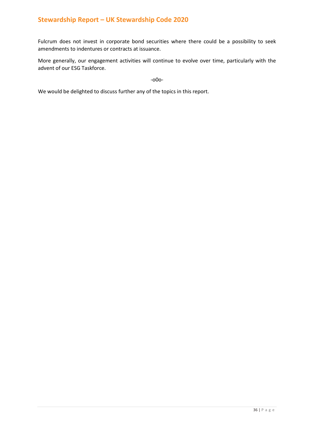Fulcrum does not invest in corporate bond securities where there could be a possibility to seek amendments to indentures or contracts at issuance.

More generally, our engagement activities will continue to evolve over time, particularly with the advent of our ESG Taskforce.

-o0o-

We would be delighted to discuss further any of the topics in this report.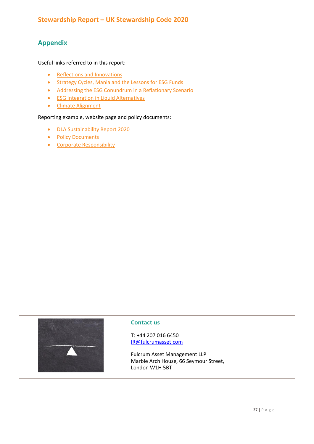# **Appendix**

Useful links referred to in this report:

- [Reflections and Innovations](https://www.fulcrumasset.com/inst/uk/en/news/webinar-on-reflections-innovations/)
- [Strategy Cycles, Mania and the Lessons for ESG Funds](https://www.fulcrumasset.com/inst/uk/en/white-papers/strategy-cycles-mania-and-the-lessons-for-esg-funds/)
- [Addressing the ESG Conundrum in a Reflationary Scenario](https://www.fulcrumasset.com/inst/uk/en/white-papers/addressing-the-esg-conundrum-in-a-reflationary-scenario/)
- [ESG Integration in Liquid Alternatives](https://www.fulcrumasset.com/inst/uk/en/white-papers/thoughts-on-responsible-investing-in-alternatives/)
- [Climate Alignment](https://www.fulcrumasset.com/inst/uk/en/white-papers/investing-aligned-with-the-paris-agreement/)

### Reporting example, website page and policy documents:

- [DLA Sustainability Report](https://www.fulcrumasset.com/uploads/2021/05/f8c10f70262cf91e1985df4aba5c164b/fas-dla-sustainability-report-april-2021.pdf) 2020
- [Policy Documents](https://www.fulcrumasset.com/inst/uk/en/important-information/)
- [Corporate Responsibility](https://www.fulcrumasset.com/inst/uk/en/about-us/corporate-responsibility/)



### **Contact us**

T: +44 207 016 6450 [IR@fulcrumasset.com](mailto:IR@fulcrumasset.com)

Fulcrum Asset Management LLP Marble Arch House, 66 Seymour Street, London W1H 5BT